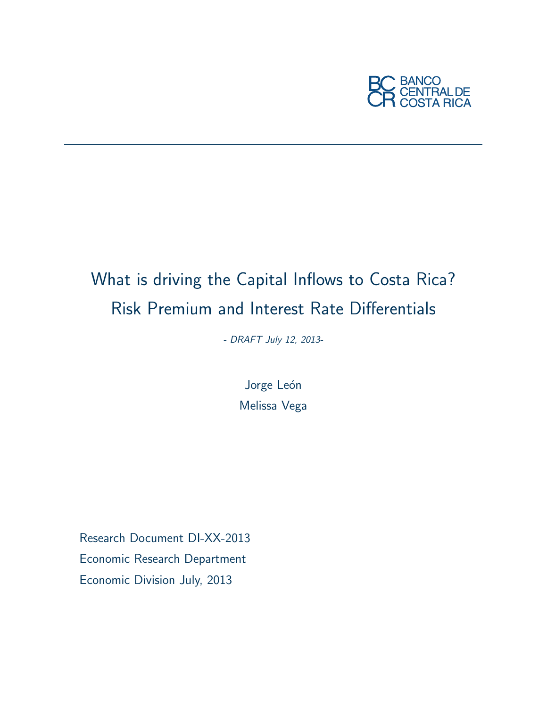

# What is driving the Capital Inflows to Costa Rica? Risk Premium and Interest Rate Differentials

- DRAFT July 12, 2013-

Jorge León Melissa Vega

Research Document DI-XX-2013 Economic Research Department Economic Division July, 2013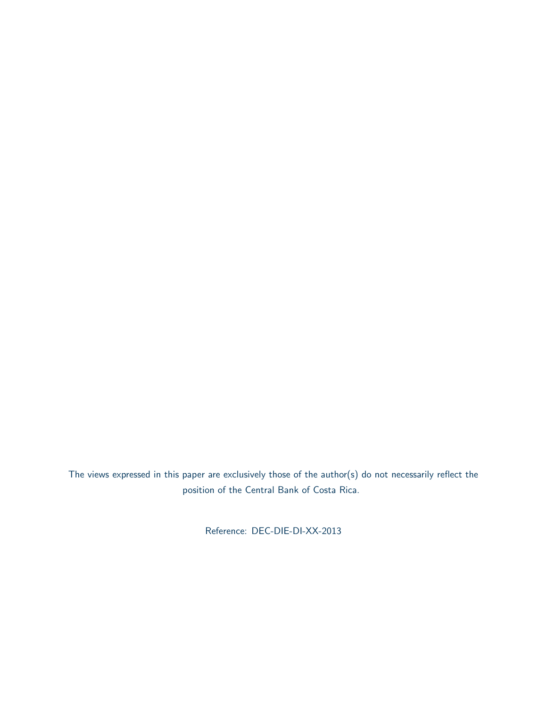The views expressed in this paper are exclusively those of the author(s) do not necessarily reflect the position of the Central Bank of Costa Rica.

Reference: DEC-DIE-DI-XX-2013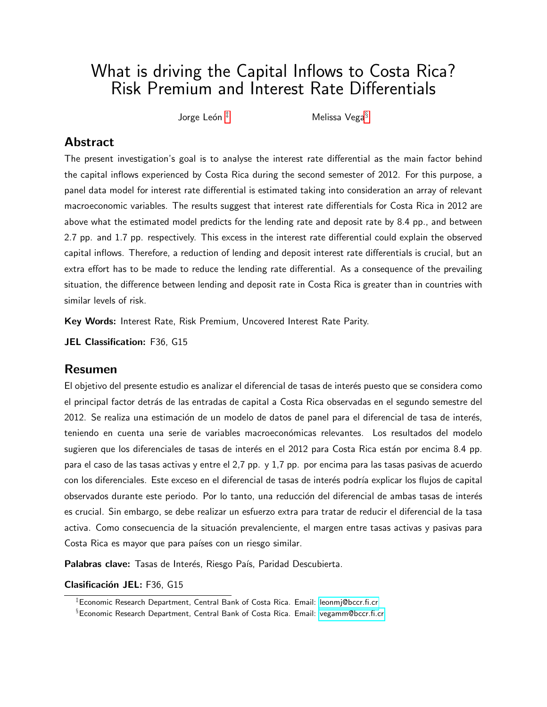# What is driving the Capital Inflows to Costa Rica? Risk Premium and Interest Rate Differentials

Jorge León  $\frac{4}{3}$  Melissa Vega<sup>[§](#page-2-1)</sup>

## Abstract

The present investigation's goal is to analyse the interest rate differential as the main factor behind the capital inflows experienced by Costa Rica during the second semester of 2012. For this purpose, a panel data model for interest rate differential is estimated taking into consideration an array of relevant macroeconomic variables. The results suggest that interest rate differentials for Costa Rica in 2012 are above what the estimated model predicts for the lending rate and deposit rate by 8.4 pp., and between 2.7 pp. and 1.7 pp. respectively. This excess in the interest rate differential could explain the observed capital inflows. Therefore, a reduction of lending and deposit interest rate differentials is crucial, but an extra effort has to be made to reduce the lending rate differential. As a consequence of the prevailing situation, the difference between lending and deposit rate in Costa Rica is greater than in countries with similar levels of risk.

Key Words: Interest Rate, Risk Premium, Uncovered Interest Rate Parity.

JEL Classification: F36, G15

### Resumen

El objetivo del presente estudio es analizar el diferencial de tasas de interés puesto que se considera como el principal factor detrás de las entradas de capital a Costa Rica observadas en el segundo semestre del 2012. Se realiza una estimación de un modelo de datos de panel para el diferencial de tasa de interés, teniendo en cuenta una serie de variables macroeconómicas relevantes. Los resultados del modelo sugieren que los diferenciales de tasas de interés en el 2012 para Costa Rica están por encima 8.4 pp. para el caso de las tasas activas y entre el 2,7 pp. y 1,7 pp. por encima para las tasas pasivas de acuerdo con los diferenciales. Este exceso en el diferencial de tasas de interés podría explicar los flujos de capital observados durante este periodo. Por lo tanto, una reducción del diferencial de ambas tasas de interés es crucial. Sin embargo, se debe realizar un esfuerzo extra para tratar de reducir el diferencial de la tasa activa. Como consecuencia de la situación prevalenciente, el margen entre tasas activas y pasivas para Costa Rica es mayor que para países con un riesgo similar.

Palabras clave: Tasas de Interés, Riesgo País, Paridad Descubierta.

#### Clasificación JEL: F36, G15

<span id="page-2-1"></span><span id="page-2-0"></span><sup>‡</sup>Economic Research Department, Central Bank of Costa Rica. Email: [leonmj@bccr.fi.cr](mailto:leonmj@bccr.fi.cr)

<sup>§</sup>Economic Research Department, Central Bank of Costa Rica. Email: [vegamm@bccr.fi.cr](mailto:vegamm@bccr.fi.cr)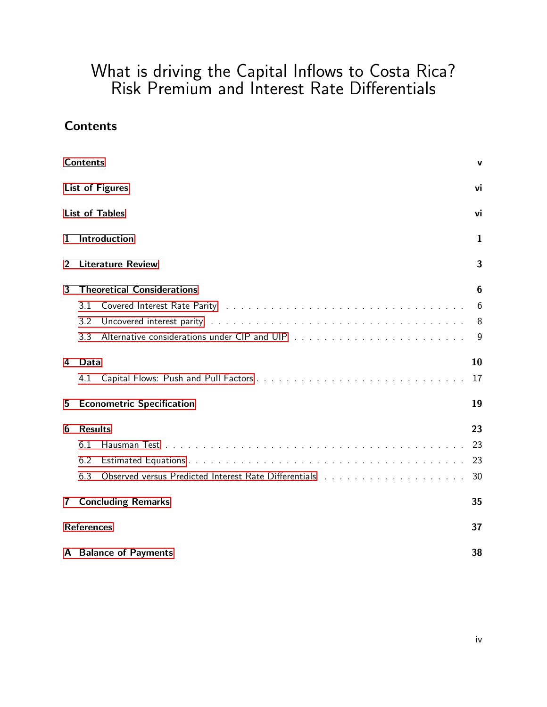# What is driving the Capital Inflows to Costa Rica? Risk Premium and Interest Rate Differentials

# <span id="page-3-0"></span>**Contents**

|                | <b>Contents</b>                                                                                                         | $\mathbf v$ |
|----------------|-------------------------------------------------------------------------------------------------------------------------|-------------|
|                | <b>List of Figures</b>                                                                                                  | vi          |
|                | <b>List of Tables</b>                                                                                                   | vi          |
| 1              | Introduction                                                                                                            | 1           |
| $\overline{2}$ | <b>Literature Review</b>                                                                                                | 3           |
| 3              | <b>Theoretical Considerations</b>                                                                                       | 6           |
|                | 3.1                                                                                                                     | 6           |
|                | 3.2                                                                                                                     | 8           |
|                | 3.3                                                                                                                     | 9           |
| 4              | Data                                                                                                                    | 10          |
|                | 4.1                                                                                                                     | 17          |
| 5              | <b>Econometric Specification</b>                                                                                        | 19          |
| 6              | <b>Results</b>                                                                                                          | 23          |
|                | 6.1                                                                                                                     | 23          |
|                | 6.2                                                                                                                     | 23          |
|                | 6.3<br>Observed versus Predicted Interest Rate Differentials results and results and results and results are not result | 30          |
| $7\,$          | <b>Concluding Remarks</b>                                                                                               | 35          |
|                | <b>References</b>                                                                                                       | 37          |
|                | <b>A</b> Balance of Payments                                                                                            | 38          |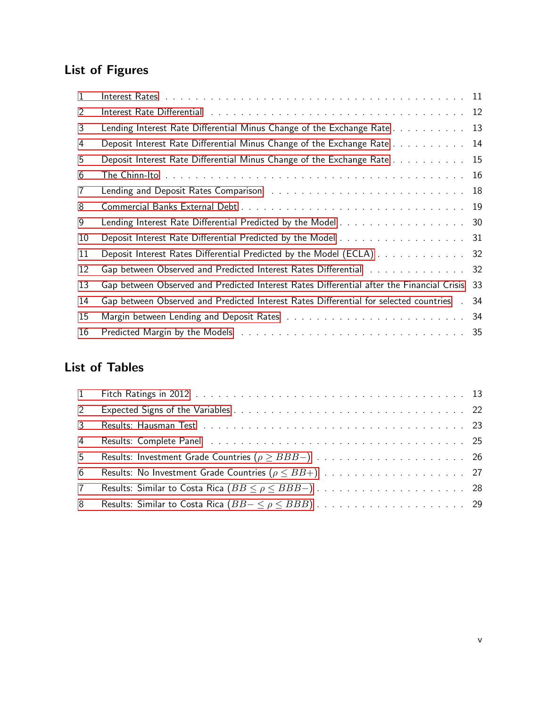# <span id="page-4-0"></span>List of Figures

| 1  |                                                                                                                 |     |
|----|-----------------------------------------------------------------------------------------------------------------|-----|
| 2  |                                                                                                                 | 12  |
| 3  | Lending Interest Rate Differential Minus Change of the Exchange Rate                                            | 13  |
| 4  | Deposit Interest Rate Differential Minus Change of the Exchange Rate                                            | 14  |
| 5  | Deposit Interest Rate Differential Minus Change of the Exchange Rate                                            | -15 |
| 6  |                                                                                                                 | 16  |
| 7  | Lending and Deposit Rates Comparison (a) and a subset of the state of the state of the state of the state of t  | 18  |
| 8  |                                                                                                                 |     |
| 9  |                                                                                                                 | 30  |
| 10 |                                                                                                                 | 31  |
| 11 | Deposit Interest Rates Differential Predicted by the Model (ECLA)                                               | 32  |
| 12 | Gap between Observed and Predicted Interest Rates Differential Association Cost                                 | 32  |
| 13 | Gap between Observed and Predicted Interest Rates Differential after the Financial Crisis                       | 33  |
| 14 | Gap between Observed and Predicted Interest Rates Differential for selected countries                           | 34  |
| 15 |                                                                                                                 | 34  |
| 16 | Predicted Margin by the Models resources in the service of the Models resources in the Structure of the Predict |     |

# <span id="page-4-1"></span>List of Tables

| 1              |  |
|----------------|--|
| 2              |  |
| 3              |  |
| $\overline{4}$ |  |
| -5             |  |
| 6              |  |
| 7              |  |
| 8              |  |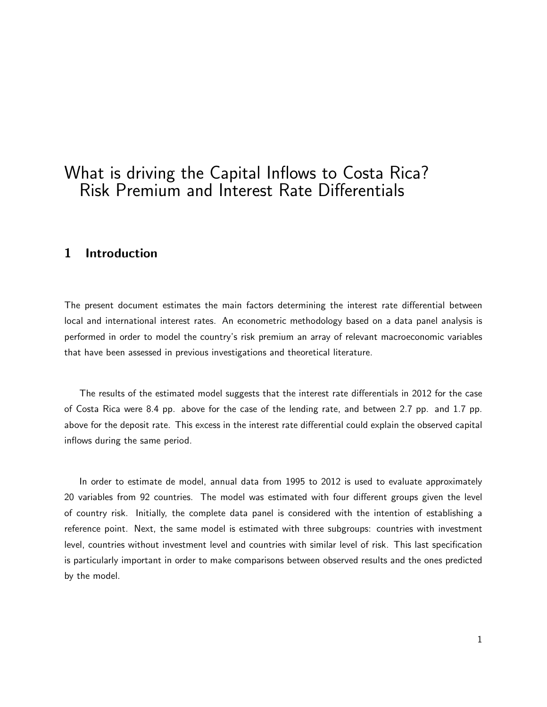# What is driving the Capital Inflows to Costa Rica? Risk Premium and Interest Rate Differentials

### <span id="page-5-0"></span>1 Introduction

The present document estimates the main factors determining the interest rate differential between local and international interest rates. An econometric methodology based on a data panel analysis is performed in order to model the country's risk premium an array of relevant macroeconomic variables that have been assessed in previous investigations and theoretical literature.

The results of the estimated model suggests that the interest rate differentials in 2012 for the case of Costa Rica were 8.4 pp. above for the case of the lending rate, and between 2.7 pp. and 1.7 pp. above for the deposit rate. This excess in the interest rate differential could explain the observed capital inflows during the same period.

In order to estimate de model, annual data from 1995 to 2012 is used to evaluate approximately 20 variables from 92 countries. The model was estimated with four different groups given the level of country risk. Initially, the complete data panel is considered with the intention of establishing a reference point. Next, the same model is estimated with three subgroups: countries with investment level, countries without investment level and countries with similar level of risk. This last specification is particularly important in order to make comparisons between observed results and the ones predicted by the model.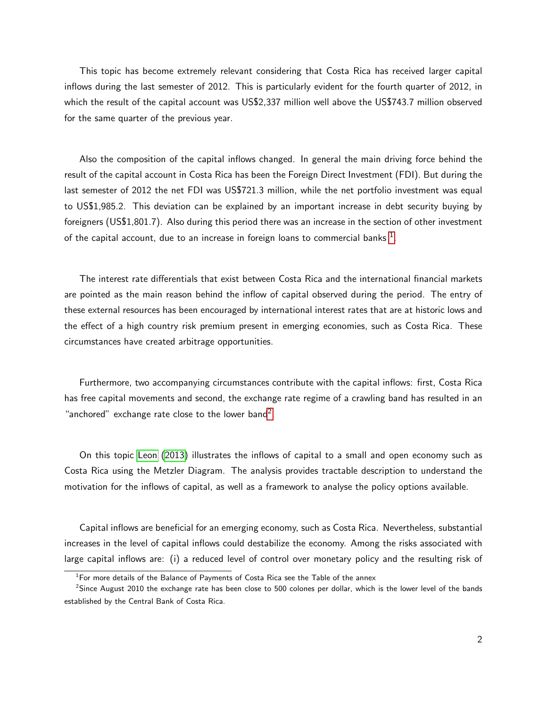This topic has become extremely relevant considering that Costa Rica has received larger capital inflows during the last semester of 2012. This is particularly evident for the fourth quarter of 2012, in which the result of the capital account was US\$2,337 million well above the US\$743.7 million observed for the same quarter of the previous year.

Also the composition of the capital inflows changed. In general the main driving force behind the result of the capital account in Costa Rica has been the Foreign Direct Investment (FDI). But during the last semester of 2012 the net FDI was US\$721.3 million, while the net portfolio investment was equal to US\$1,985.2. This deviation can be explained by an important increase in debt security buying by foreigners (US\$1,801.7). Also during this period there was an increase in the section of other investment of the capital account, due to an increase in foreign loans to commercial banks  $^{\rm 1}.$  $^{\rm 1}.$  $^{\rm 1}.$ 

The interest rate differentials that exist between Costa Rica and the international financial markets are pointed as the main reason behind the inflow of capital observed during the period. The entry of these external resources has been encouraged by international interest rates that are at historic lows and the effect of a high country risk premium present in emerging economies, such as Costa Rica. These circumstances have created arbitrage opportunities.

Furthermore, two accompanying circumstances contribute with the capital inflows: first, Costa Rica has free capital movements and second, the exchange rate regime of a crawling band has resulted in an "anchored" exchange rate close to the lower band<sup>[2](#page-6-1)</sup>.

On this topic [Leon](#page-41-1) [\(2013\)](#page-41-1) illustrates the inflows of capital to a small and open economy such as Costa Rica using the Metzler Diagram. The analysis provides tractable description to understand the motivation for the inflows of capital, as well as a framework to analyse the policy options available.

Capital inflows are beneficial for an emerging economy, such as Costa Rica. Nevertheless, substantial increases in the level of capital inflows could destabilize the economy. Among the risks associated with large capital inflows are: (i) a reduced level of control over monetary policy and the resulting risk of

<span id="page-6-1"></span><span id="page-6-0"></span> $1$ For more details of the Balance of Payments of Costa Rica see the Table of the annex

<sup>&</sup>lt;sup>2</sup>Since August 2010 the exchange rate has been close to 500 colones per dollar, which is the lower level of the bands established by the Central Bank of Costa Rica.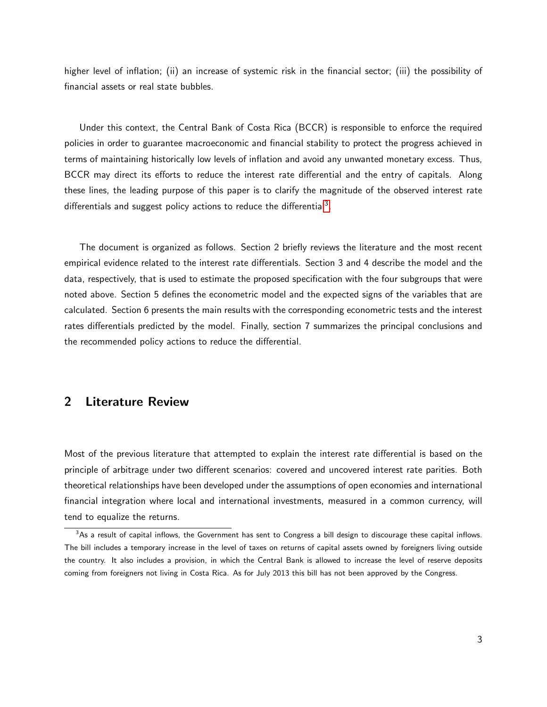higher level of inflation; (ii) an increase of systemic risk in the financial sector; (iii) the possibility of financial assets or real state bubbles.

Under this context, the Central Bank of Costa Rica (BCCR) is responsible to enforce the required policies in order to guarantee macroeconomic and financial stability to protect the progress achieved in terms of maintaining historically low levels of inflation and avoid any unwanted monetary excess. Thus, BCCR may direct its efforts to reduce the interest rate differential and the entry of capitals. Along these lines, the leading purpose of this paper is to clarify the magnitude of the observed interest rate differentials and suggest policy actions to reduce the differential<sup>[3](#page-7-1)</sup>.

The document is organized as follows. Section 2 briefly reviews the literature and the most recent empirical evidence related to the interest rate differentials. Section 3 and 4 describe the model and the data, respectively, that is used to estimate the proposed specification with the four subgroups that were noted above. Section 5 defines the econometric model and the expected signs of the variables that are calculated. Section 6 presents the main results with the corresponding econometric tests and the interest rates differentials predicted by the model. Finally, section 7 summarizes the principal conclusions and the recommended policy actions to reduce the differential.

### <span id="page-7-0"></span>2 Literature Review

Most of the previous literature that attempted to explain the interest rate differential is based on the principle of arbitrage under two different scenarios: covered and uncovered interest rate parities. Both theoretical relationships have been developed under the assumptions of open economies and international financial integration where local and international investments, measured in a common currency, will tend to equalize the returns.

<span id="page-7-1"></span> $3$ As a result of capital inflows, the Government has sent to Congress a bill design to discourage these capital inflows. The bill includes a temporary increase in the level of taxes on returns of capital assets owned by foreigners living outside the country. It also includes a provision, in which the Central Bank is allowed to increase the level of reserve deposits coming from foreigners not living in Costa Rica. As for July 2013 this bill has not been approved by the Congress.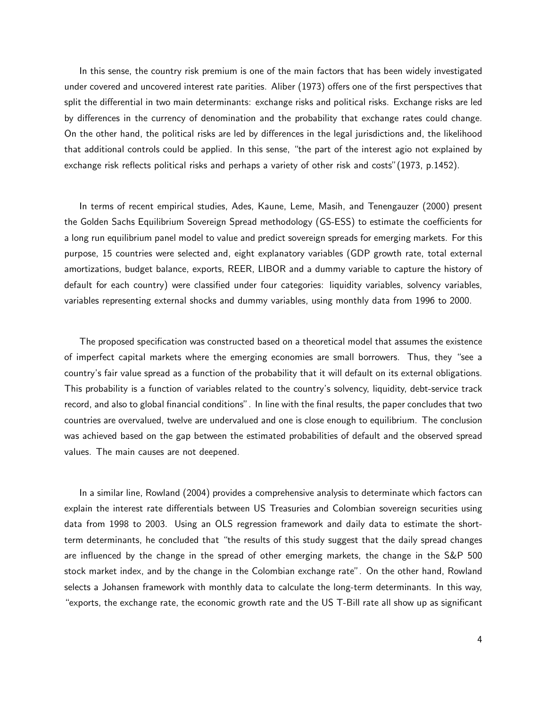In this sense, the country risk premium is one of the main factors that has been widely investigated under covered and uncovered interest rate parities. Aliber (1973) offers one of the first perspectives that split the differential in two main determinants: exchange risks and political risks. Exchange risks are led by differences in the currency of denomination and the probability that exchange rates could change. On the other hand, the political risks are led by differences in the legal jurisdictions and, the likelihood that additional controls could be applied. In this sense, "the part of the interest agio not explained by exchange risk reflects political risks and perhaps a variety of other risk and costs"(1973, p.1452).

In terms of recent empirical studies, Ades, Kaune, Leme, Masih, and Tenengauzer (2000) present the Golden Sachs Equilibrium Sovereign Spread methodology (GS-ESS) to estimate the coefficients for a long run equilibrium panel model to value and predict sovereign spreads for emerging markets. For this purpose, 15 countries were selected and, eight explanatory variables (GDP growth rate, total external amortizations, budget balance, exports, REER, LIBOR and a dummy variable to capture the history of default for each country) were classified under four categories: liquidity variables, solvency variables, variables representing external shocks and dummy variables, using monthly data from 1996 to 2000.

The proposed specification was constructed based on a theoretical model that assumes the existence of imperfect capital markets where the emerging economies are small borrowers. Thus, they "see a country's fair value spread as a function of the probability that it will default on its external obligations. This probability is a function of variables related to the country's solvency, liquidity, debt-service track record, and also to global financial conditions". In line with the final results, the paper concludes that two countries are overvalued, twelve are undervalued and one is close enough to equilibrium. The conclusion was achieved based on the gap between the estimated probabilities of default and the observed spread values. The main causes are not deepened.

In a similar line, Rowland (2004) provides a comprehensive analysis to determinate which factors can explain the interest rate differentials between US Treasuries and Colombian sovereign securities using data from 1998 to 2003. Using an OLS regression framework and daily data to estimate the shortterm determinants, he concluded that "the results of this study suggest that the daily spread changes are influenced by the change in the spread of other emerging markets, the change in the S&P 500 stock market index, and by the change in the Colombian exchange rate". On the other hand, Rowland selects a Johansen framework with monthly data to calculate the long-term determinants. In this way, "exports, the exchange rate, the economic growth rate and the US T-Bill rate all show up as significant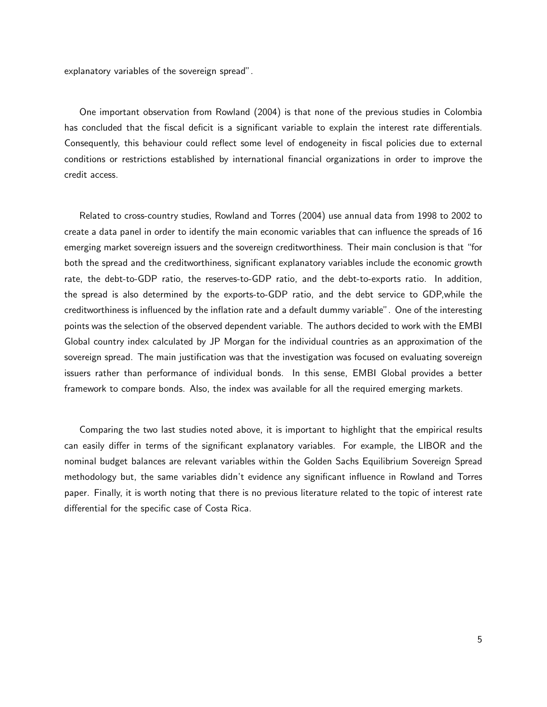explanatory variables of the sovereign spread".

One important observation from Rowland (2004) is that none of the previous studies in Colombia has concluded that the fiscal deficit is a significant variable to explain the interest rate differentials. Consequently, this behaviour could reflect some level of endogeneity in fiscal policies due to external conditions or restrictions established by international financial organizations in order to improve the credit access.

Related to cross-country studies, Rowland and Torres (2004) use annual data from 1998 to 2002 to create a data panel in order to identify the main economic variables that can influence the spreads of 16 emerging market sovereign issuers and the sovereign creditworthiness. Their main conclusion is that "for both the spread and the creditworthiness, significant explanatory variables include the economic growth rate, the debt-to-GDP ratio, the reserves-to-GDP ratio, and the debt-to-exports ratio. In addition, the spread is also determined by the exports-to-GDP ratio, and the debt service to GDP,while the creditworthiness is influenced by the inflation rate and a default dummy variable". One of the interesting points was the selection of the observed dependent variable. The authors decided to work with the EMBI Global country index calculated by JP Morgan for the individual countries as an approximation of the sovereign spread. The main justification was that the investigation was focused on evaluating sovereign issuers rather than performance of individual bonds. In this sense, EMBI Global provides a better framework to compare bonds. Also, the index was available for all the required emerging markets.

Comparing the two last studies noted above, it is important to highlight that the empirical results can easily differ in terms of the significant explanatory variables. For example, the LIBOR and the nominal budget balances are relevant variables within the Golden Sachs Equilibrium Sovereign Spread methodology but, the same variables didn't evidence any significant influence in Rowland and Torres paper. Finally, it is worth noting that there is no previous literature related to the topic of interest rate differential for the specific case of Costa Rica.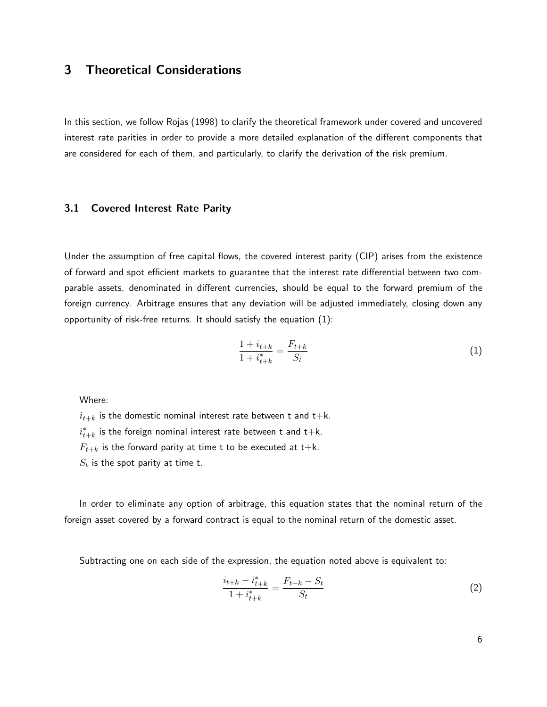### <span id="page-10-0"></span>3 Theoretical Considerations

In this section, we follow Rojas (1998) to clarify the theoretical framework under covered and uncovered interest rate parities in order to provide a more detailed explanation of the different components that are considered for each of them, and particularly, to clarify the derivation of the risk premium.

#### <span id="page-10-1"></span>3.1 Covered Interest Rate Parity

Under the assumption of free capital flows, the covered interest parity (CIP) arises from the existence of forward and spot efficient markets to guarantee that the interest rate differential between two comparable assets, denominated in different currencies, should be equal to the forward premium of the foreign currency. Arbitrage ensures that any deviation will be adjusted immediately, closing down any opportunity of risk-free returns. It should satisfy the equation (1):

$$
\frac{1 + i_{t+k}}{1 + i_{t+k}^*} = \frac{F_{t+k}}{S_t} \tag{1}
$$

Where:

 $i_{t+k}$  is the domestic nominal interest rate between t and t+k.  $i_{t+k}^*$  is the foreign nominal interest rate between t and t $+\mathsf{k}.$  $F_{t+k}$  is the forward parity at time t to be executed at t+k.  $S_t$  is the spot parity at time t.

In order to eliminate any option of arbitrage, this equation states that the nominal return of the foreign asset covered by a forward contract is equal to the nominal return of the domestic asset.

Subtracting one on each side of the expression, the equation noted above is equivalent to:

$$
\frac{i_{t+k} - i_{t+k}^*}{1 + i_{t+k}^*} = \frac{F_{t+k} - S_t}{S_t} \tag{2}
$$

6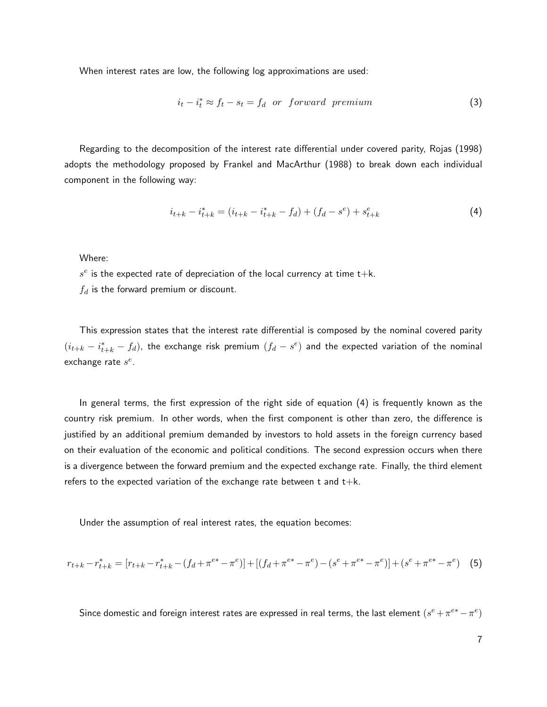When interest rates are low, the following log approximations are used:

$$
i_t - i_t^* \approx f_t - s_t = f_d \quad or \quad forward \quad premium \tag{3}
$$

Regarding to the decomposition of the interest rate differential under covered parity, Rojas (1998) adopts the methodology proposed by Frankel and MacArthur (1988) to break down each individual component in the following way:

$$
i_{t+k} - i_{t+k}^* = (i_{t+k} - i_{t+k}^* - f_d) + (f_d - s^e) + s_{t+k}^e
$$
\n<sup>(4)</sup>

Where:

 $s^e$  is the expected rate of depreciation of the local currency at time t+k.

 $f_d$  is the forward premium or discount.

This expression states that the interest rate differential is composed by the nominal covered parity  $(i_{t+k} - i^*_{t+k} - f_d)$ , the exchange risk premium  $(f_d - s^e)$  and the expected variation of the nominal exchange rate  $s^e$ .

In general terms, the first expression of the right side of equation (4) is frequently known as the country risk premium. In other words, when the first component is other than zero, the difference is justified by an additional premium demanded by investors to hold assets in the foreign currency based on their evaluation of the economic and political conditions. The second expression occurs when there is a divergence between the forward premium and the expected exchange rate. Finally, the third element refers to the expected variation of the exchange rate between  $t$  and  $t+k$ .

Under the assumption of real interest rates, the equation becomes:

$$
r_{t+k} - r_{t+k}^* = [r_{t+k} - r_{t+k}^* - (f_d + \pi^{e*} - \pi^e)] + [(f_d + \pi^{e*} - \pi^e) - (s^e + \pi^{e*} - \pi^e)] + (s^e + \pi^{e*} - \pi^e) \tag{5}
$$

Since domestic and foreign interest rates are expressed in real terms, the last element  $(s^e+\pi^{e*}-\pi^e)$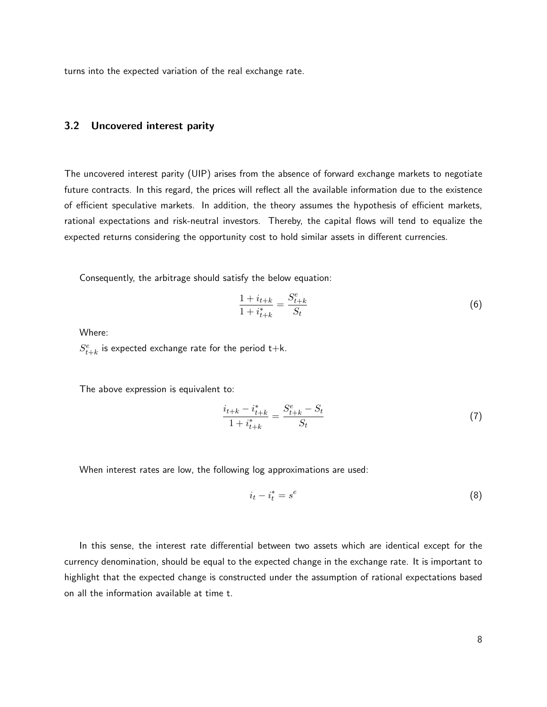turns into the expected variation of the real exchange rate.

#### <span id="page-12-0"></span>3.2 Uncovered interest parity

The uncovered interest parity (UIP) arises from the absence of forward exchange markets to negotiate future contracts. In this regard, the prices will reflect all the available information due to the existence of efficient speculative markets. In addition, the theory assumes the hypothesis of efficient markets, rational expectations and risk-neutral investors. Thereby, the capital flows will tend to equalize the expected returns considering the opportunity cost to hold similar assets in different currencies.

Consequently, the arbitrage should satisfy the below equation:

$$
\frac{1+i_{t+k}}{1+i_{t+k}^{*}} = \frac{S_{t+k}^{e}}{S_{t}}
$$
\n(6)

Where:

 $S_{t+k}^e$  is expected exchange rate for the period t $+{\sf k}.$ 

The above expression is equivalent to:

$$
\frac{i_{t+k} - i_{t+k}^*}{1 + i_{t+k}^*} = \frac{S_{t+k}^e - S_t}{S_t} \tag{7}
$$

When interest rates are low, the following log approximations are used:

$$
i_t - i_t^* = s^e \tag{8}
$$

In this sense, the interest rate differential between two assets which are identical except for the currency denomination, should be equal to the expected change in the exchange rate. It is important to highlight that the expected change is constructed under the assumption of rational expectations based on all the information available at time t.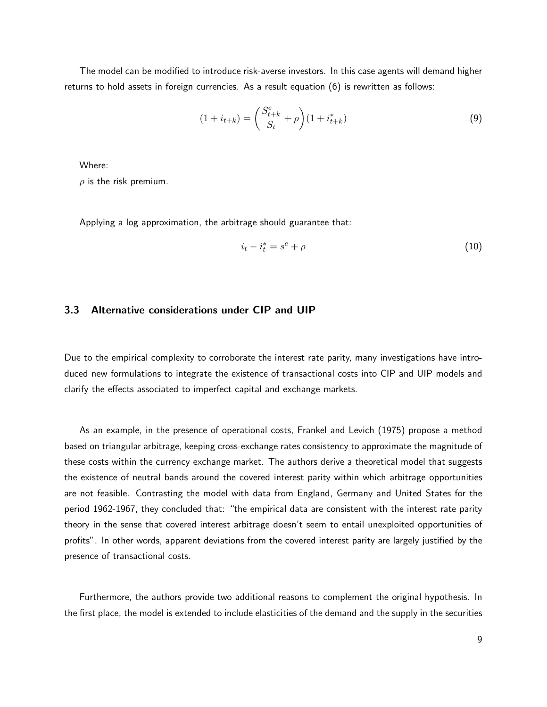The model can be modified to introduce risk-averse investors. In this case agents will demand higher returns to hold assets in foreign currencies. As a result equation (6) is rewritten as follows:

$$
(1 + i_{t+k}) = \left(\frac{S_{t+k}^e}{S_t} + \rho\right)(1 + i_{t+k}^*)
$$
\n(9)

Where:

 $\rho$  is the risk premium.

Applying a log approximation, the arbitrage should guarantee that:

<span id="page-13-1"></span>
$$
i_t - i_t^* = s^e + \rho \tag{10}
$$

#### <span id="page-13-0"></span>3.3 Alternative considerations under CIP and UIP

Due to the empirical complexity to corroborate the interest rate parity, many investigations have introduced new formulations to integrate the existence of transactional costs into CIP and UIP models and clarify the effects associated to imperfect capital and exchange markets.

As an example, in the presence of operational costs, Frankel and Levich (1975) propose a method based on triangular arbitrage, keeping cross-exchange rates consistency to approximate the magnitude of these costs within the currency exchange market. The authors derive a theoretical model that suggests the existence of neutral bands around the covered interest parity within which arbitrage opportunities are not feasible. Contrasting the model with data from England, Germany and United States for the period 1962-1967, they concluded that: "the empirical data are consistent with the interest rate parity theory in the sense that covered interest arbitrage doesn't seem to entail unexploited opportunities of profits". In other words, apparent deviations from the covered interest parity are largely justified by the presence of transactional costs.

Furthermore, the authors provide two additional reasons to complement the original hypothesis. In the first place, the model is extended to include elasticities of the demand and the supply in the securities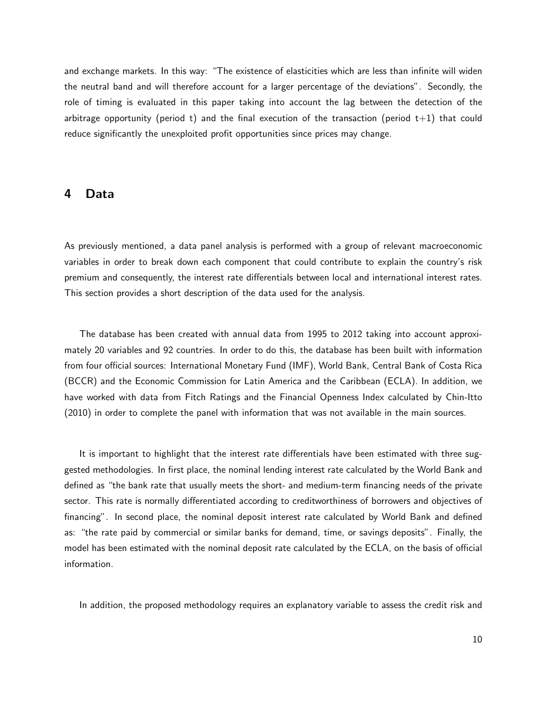and exchange markets. In this way: "The existence of elasticities which are less than infinite will widen the neutral band and will therefore account for a larger percentage of the deviations". Secondly, the role of timing is evaluated in this paper taking into account the lag between the detection of the arbitrage opportunity (period t) and the final execution of the transaction (period  $t+1$ ) that could reduce significantly the unexploited profit opportunities since prices may change.

#### <span id="page-14-0"></span>4 Data

As previously mentioned, a data panel analysis is performed with a group of relevant macroeconomic variables in order to break down each component that could contribute to explain the country's risk premium and consequently, the interest rate differentials between local and international interest rates. This section provides a short description of the data used for the analysis.

The database has been created with annual data from 1995 to 2012 taking into account approximately 20 variables and 92 countries. In order to do this, the database has been built with information from four official sources: International Monetary Fund (IMF), World Bank, Central Bank of Costa Rica (BCCR) and the Economic Commission for Latin America and the Caribbean (ECLA). In addition, we have worked with data from Fitch Ratings and the Financial Openness Index calculated by Chin-Itto (2010) in order to complete the panel with information that was not available in the main sources.

It is important to highlight that the interest rate differentials have been estimated with three suggested methodologies. In first place, the nominal lending interest rate calculated by the World Bank and defined as "the bank rate that usually meets the short- and medium-term financing needs of the private sector. This rate is normally differentiated according to creditworthiness of borrowers and objectives of financing". In second place, the nominal deposit interest rate calculated by World Bank and defined as: "the rate paid by commercial or similar banks for demand, time, or savings deposits". Finally, the model has been estimated with the nominal deposit rate calculated by the ECLA, on the basis of official information.

In addition, the proposed methodology requires an explanatory variable to assess the credit risk and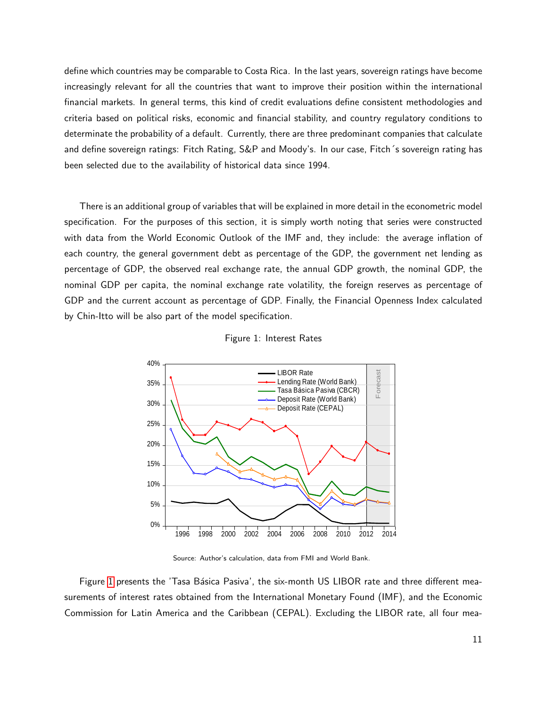define which countries may be comparable to Costa Rica. In the last years, sovereign ratings have become increasingly relevant for all the countries that want to improve their position within the international financial markets. In general terms, this kind of credit evaluations define consistent methodologies and criteria based on political risks, economic and financial stability, and country regulatory conditions to determinate the probability of a default. Currently, there are three predominant companies that calculate and define sovereign ratings: Fitch Rating, S&P and Moody's. In our case, Fitch 's sovereign rating has been selected due to the availability of historical data since 1994.

There is an additional group of variables that will be explained in more detail in the econometric model specification. For the purposes of this section, it is simply worth noting that series were constructed with data from the World Economic Outlook of the IMF and, they include: the average inflation of each country, the general government debt as percentage of the GDP, the government net lending as percentage of GDP, the observed real exchange rate, the annual GDP growth, the nominal GDP, the nominal GDP per capita, the nominal exchange rate volatility, the foreign reserves as percentage of GDP and the current account as percentage of GDP. Finally, the Financial Openness Index calculated by Chin-Itto will be also part of the model specification.



<span id="page-15-0"></span>

Source: Author's calculation, data from FMI and World Bank.

Figure [1](#page-15-0) presents the 'Tasa Básica Pasiva', the six-month US LIBOR rate and three different measurements of interest rates obtained from the International Monetary Found (IMF), and the Economic Commission for Latin America and the Caribbean (CEPAL). Excluding the LIBOR rate, all four mea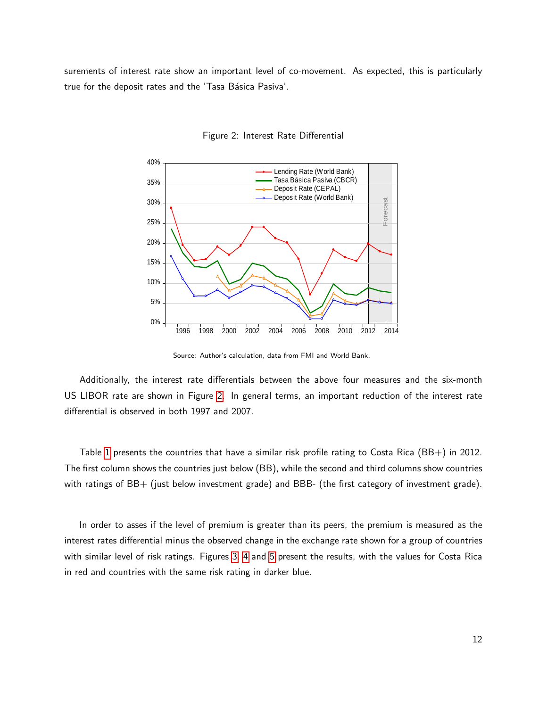<span id="page-16-0"></span>surements of interest rate show an important level of co-movement. As expected, this is particularly true for the deposit rates and the 'Tasa Básica Pasiva'.



Figure 2: Interest Rate Differential

Source: Author's calculation, data from FMI and World Bank.

Additionally, the interest rate differentials between the above four measures and the six-month US LIBOR rate are shown in Figure [2.](#page-16-0) In general terms, an important reduction of the interest rate differential is observed in both 1997 and 2007.

Table [1](#page-17-1) presents the countries that have a similar risk profile rating to Costa Rica (BB+) in 2012. The first column shows the countries just below (BB), while the second and third columns show countries with ratings of BB+ (just below investment grade) and BBB- (the first category of investment grade).

In order to asses if the level of premium is greater than its peers, the premium is measured as the interest rates differential minus the observed change in the exchange rate shown for a group of countries with similar level of risk ratings. Figures [3,](#page-17-0) [4](#page-18-0) and [5](#page-19-0) present the results, with the values for Costa Rica in red and countries with the same risk rating in darker blue.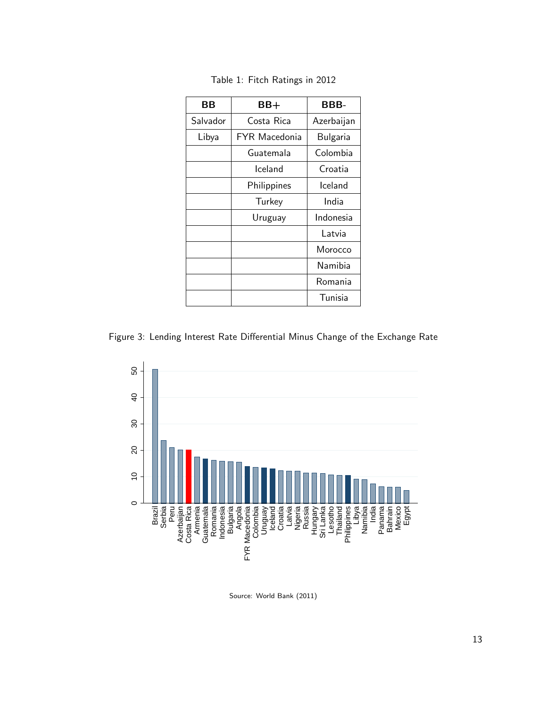<span id="page-17-1"></span>

| ВB       | BB+                  | BBB-       |
|----------|----------------------|------------|
| Salvador | Costa Rica           | Azerbaijan |
| Libya    | <b>FYR Macedonia</b> | Bulgaria   |
|          | Guatemala            | Colombia   |
|          | Iceland              | Croatia    |
|          | Philippines          | Iceland    |
|          | Turkey               | India      |
|          | Uruguay              | Indonesia  |
|          |                      | I atvia    |
|          |                      | Morocco    |
|          |                      | Namibia    |
|          |                      | Romania    |
|          |                      | Tunisia    |

Table 1: Fitch Ratings in 2012

<span id="page-17-0"></span>Figure 3: Lending Interest Rate Differential Minus Change of the Exchange Rate



Source: World Bank (2011)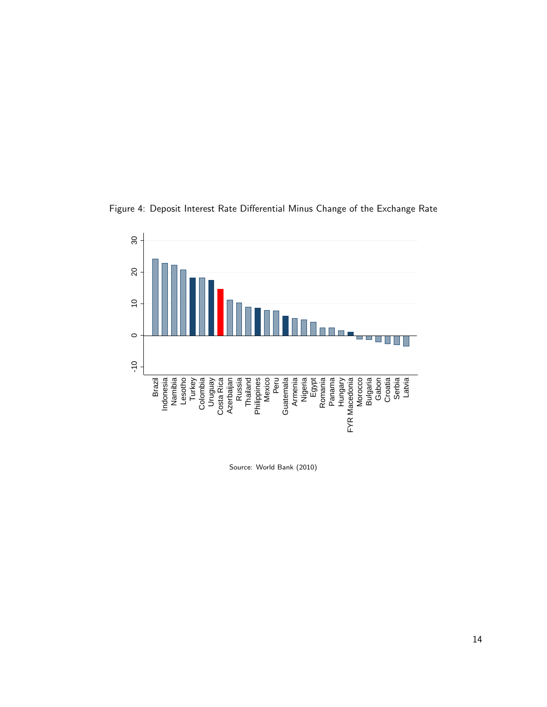<span id="page-18-0"></span>



Source: World Bank (2010)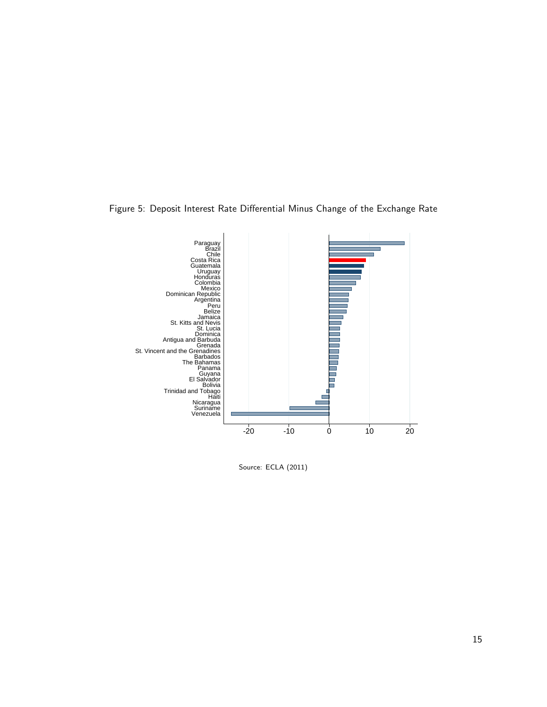

<span id="page-19-0"></span>Figure 5: Deposit Interest Rate Differential Minus Change of the Exchange Rate

Source: ECLA (2011)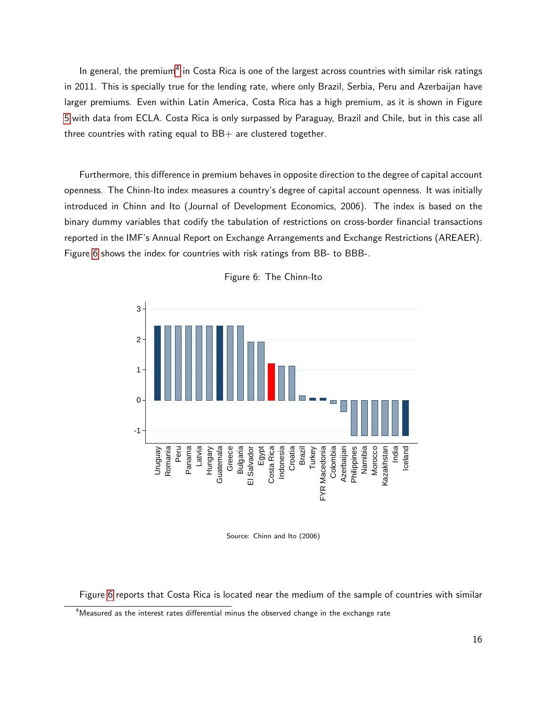In general, the premium<sup>[4](#page-20-1)</sup> in Costa Rica is one of the largest across countries with similar risk ratings in 2011. This is specially true for the lending rate, where only Brazil, Serbia, Peru and Azerbaijan have larger premiums. Even within Latin America, Costa Rica has a high premium, as it is shown in Figure [5](#page-19-0) with data from ECLA. Costa Rica is only surpassed by Paraguay, Brazil and Chile, but in this case all three countries with rating equal to  $BB+$  are clustered together.

Furthermore, this difference in premium behaves in opposite direction to the degree of capital account openness. The Chinn-Ito index measures a country's degree of capital account openness. It was initially introduced in Chinn and Ito (Journal of Development Economics, 2006). The index is based on the binary dummy variables that codify the tabulation of restrictions on cross-border financial transactions reported in the IMF's Annual Report on Exchange Arrangements and Exchange Restrictions (AREAER). Figure [6](#page-20-0) shows the index for countries with risk ratings from BB- to BBB-.

<span id="page-20-0"></span>

Figure 6: The Chinn-Ito

Source: Chinn and Ito (2006)

Figure [6](#page-20-0) reports that Costa Rica is located near the medium of the sample of countries with similar

<span id="page-20-1"></span> $4$ Measured as the interest rates differential minus the observed change in the exchange rate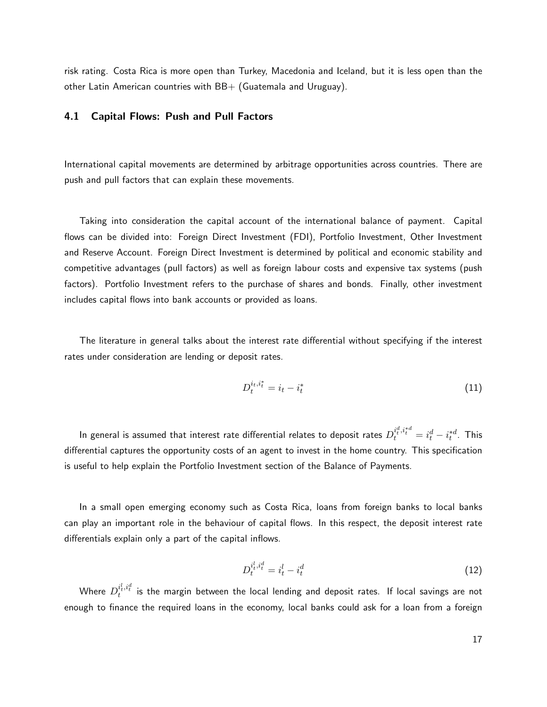risk rating. Costa Rica is more open than Turkey, Macedonia and Iceland, but it is less open than the other Latin American countries with  $BB+$  (Guatemala and Uruguay).

#### <span id="page-21-0"></span>4.1 Capital Flows: Push and Pull Factors

International capital movements are determined by arbitrage opportunities across countries. There are push and pull factors that can explain these movements.

Taking into consideration the capital account of the international balance of payment. Capital flows can be divided into: Foreign Direct Investment (FDI), Portfolio Investment, Other Investment and Reserve Account. Foreign Direct Investment is determined by political and economic stability and competitive advantages (pull factors) as well as foreign labour costs and expensive tax systems (push factors). Portfolio Investment refers to the purchase of shares and bonds. Finally, other investment includes capital flows into bank accounts or provided as loans.

The literature in general talks about the interest rate differential without specifying if the interest rates under consideration are lending or deposit rates.

$$
D_t^{i_t, i_t^*} = i_t - i_t^* \tag{11}
$$

In general is assumed that interest rate differential relates to deposit rates  $D_t^{i^d_t,i^*_{t}d}=i^d_t-i^{*d}_t.$  This differential captures the opportunity costs of an agent to invest in the home country. This specification is useful to help explain the Portfolio Investment section of the Balance of Payments.

In a small open emerging economy such as Costa Rica, loans from foreign banks to local banks can play an important role in the behaviour of capital flows. In this respect, the deposit interest rate differentials explain only a part of the capital inflows.

$$
D_t^{i_t^l, i_t^d} = i_t^l - i_t^d \tag{12}
$$

Where  $D_{t}^{i_{t}^{l},i_{t}^{d}}$  is the margin between the local lending and deposit rates. If local savings are not enough to finance the required loans in the economy, local banks could ask for a loan from a foreign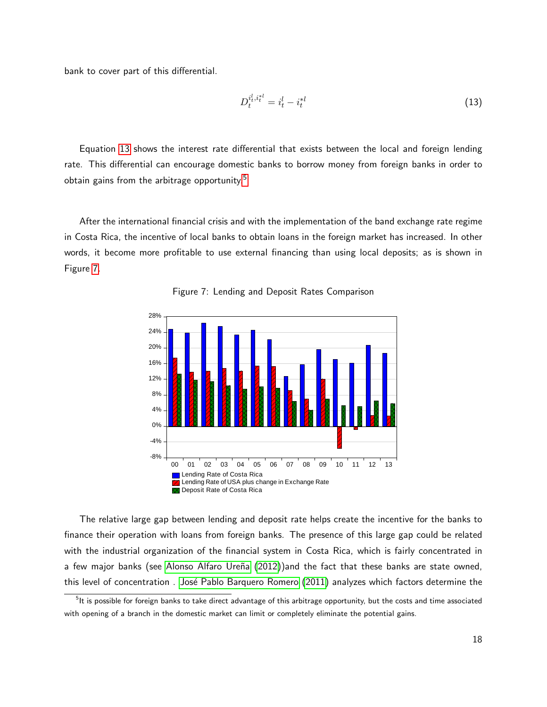<span id="page-22-1"></span>bank to cover part of this differential.

$$
D_t^{i_t^l, i_t^{*l}} = i_t^l - i_t^{*l} \tag{13}
$$

Equation [13](#page-22-1) shows the interest rate differential that exists between the local and foreign lending rate. This differential can encourage domestic banks to borrow money from foreign banks in order to obtain gains from the arbitrage opportunity.<sup>[5](#page-22-2)</sup>

<span id="page-22-0"></span>After the international financial crisis and with the implementation of the band exchange rate regime in Costa Rica, the incentive of local banks to obtain loans in the foreign market has increased. In other words, it become more profitable to use external financing than using local deposits; as is shown in Figure [7.](#page-22-0)



Figure 7: Lending and Deposit Rates Comparison

The relative large gap between lending and deposit rate helps create the incentive for the banks to finance their operation with loans from foreign banks. The presence of this large gap could be related with the industrial organization of the financial system in Costa Rica, which is fairly concentrated in a few major banks (see Alonso Alfaro Ureña [\(2012\)](#page-41-2))and the fact that these banks are state owned, this level of concentration . José Pablo Barquero Romero [\(2011\)](#page-41-3) analyzes which factors determine the

<span id="page-22-2"></span> $^{\rm 5}$ It is possible for foreign banks to take direct advantage of this arbitrage opportunity, but the costs and time associated with opening of a branch in the domestic market can limit or completely eliminate the potential gains.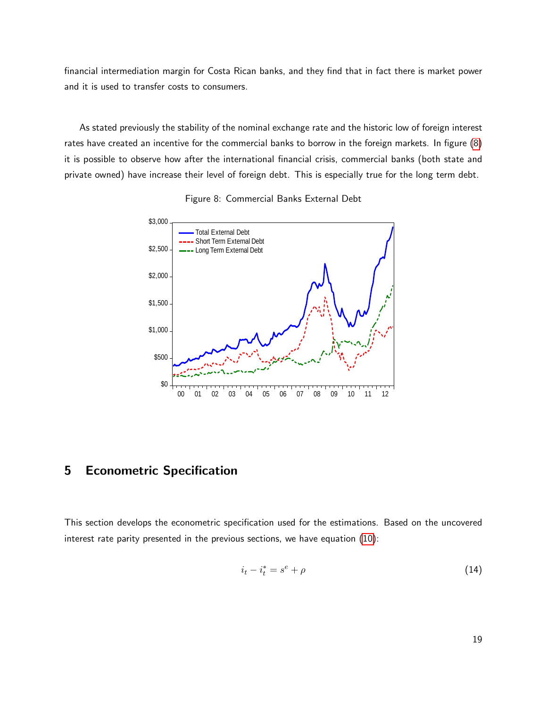financial intermediation margin for Costa Rican banks, and they find that in fact there is market power and it is used to transfer costs to consumers.

<span id="page-23-1"></span>As stated previously the stability of the nominal exchange rate and the historic low of foreign interest rates have created an incentive for the commercial banks to borrow in the foreign markets. In figure [\(8\)](#page-23-1) it is possible to observe how after the international financial crisis, commercial banks (both state and private owned) have increase their level of foreign debt. This is especially true for the long term debt.





# <span id="page-23-0"></span>5 Econometric Specification

This section develops the econometric specification used for the estimations. Based on the uncovered interest rate parity presented in the previous sections, we have equation [\(10\)](#page-13-1):

$$
i_t - i_t^* = s^e + \rho \tag{14}
$$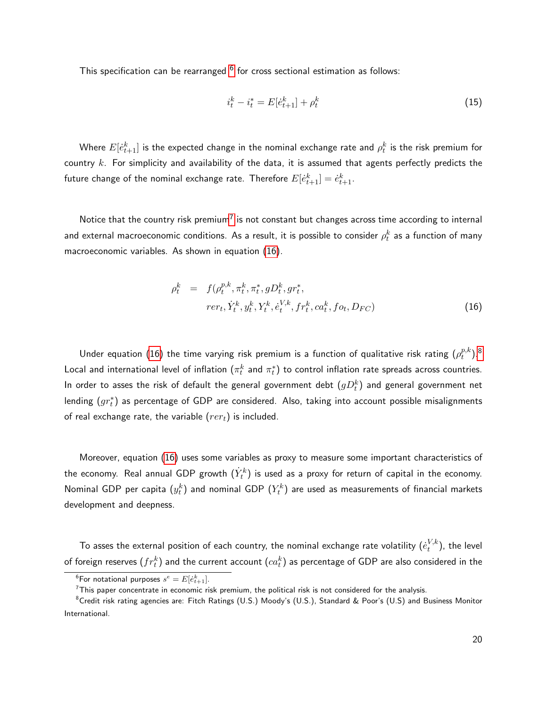This specification can be rearranged  $^6$  $^6$  for cross sectional estimation as follows:

$$
i_t^k - i_t^* = E[\dot{e}_{t+1}^k] + \rho_t^k \tag{15}
$$

Where  $E[\dot{e}^k_{t+1}]$  is the expected change in the nominal exchange rate and  $\rho^k_t$  is the risk premium for country  $k$ . For simplicity and availability of the data, it is assumed that agents perfectly predicts the future change of the nominal exchange rate. Therefore  $E[\dot{e}^k_{t+1}] = \dot{e}^k_{t+1}.$ 

Notice that the country risk premium<sup>[7](#page-24-1)</sup> is not constant but changes across time according to internal and external macroeconomic conditions. As a result, it is possible to consider  $\rho^k_t$  as a function of many macroeconomic variables. As shown in equation [\(16\)](#page-24-2).

<span id="page-24-2"></span>
$$
\rho_t^k = f(\rho_t^{p,k}, \pi_t^k, \pi_t^*, gD_t^k, gr_t^*,\nrer_t, \dot{Y}_t^k, y_t^k, Y_t^k, \dot{e}_t^{V,k}, fr_t^k, ca_t^k, fo_t, D_{FC})
$$
\n(16)

Under equation [\(16\)](#page-24-2) the time varying risk premium is a function of qualitative risk rating  $(\rho_t^{p,k}$  $_{t}^{p,k}$ ). $^{8}$  $^{8}$  $^{8}$ Local and international level of inflation  $(\pi^k_t$  and  $\pi^*_t)$  to control inflation rate spreads across countries. In order to asses the risk of default the general government debt  $(gD_t^k)$  and general government net lending  $(gr_t^*)$  as percentage of GDP are considered. Also, taking into account possible misalignments of real exchange rate, the variable  $(rer_t)$  is included.

Moreover, equation [\(16\)](#page-24-2) uses some variables as proxy to measure some important characteristics of the economy. Real annual GDP growth  $(\dot Y^k_t)$  is used as a proxy for return of capital in the economy. Nominal GDP per capita  $(y_t^k)$  and nominal GDP  $(Y_t^k)$  are used as measurements of financial markets development and deepness.

To asses the external position of each country, the nominal exchange rate volatility  $(\dot{e}_{t}^{V,k}% ,\dot{e}_{t}^{V,k})$  $\binom{V,\kappa}{t}$ , the level of foreign reserves  $(fr_{t}^{k})$  and the current account  $(ca_{t}^{k})$  as percentage of GDP are also considered in the

<span id="page-24-1"></span><span id="page-24-0"></span> ${}^6$ For notational purposes  $s^e=E[\dot{e}^k_{t+1}]$ .

<span id="page-24-3"></span> $7$ This paper concentrate in economic risk premium, the political risk is not considered for the analysis.

 $8$ Credit risk rating agencies are: Fitch Ratings (U.S.) Moody's (U.S.), Standard & Poor's (U.S) and Business Monitor International.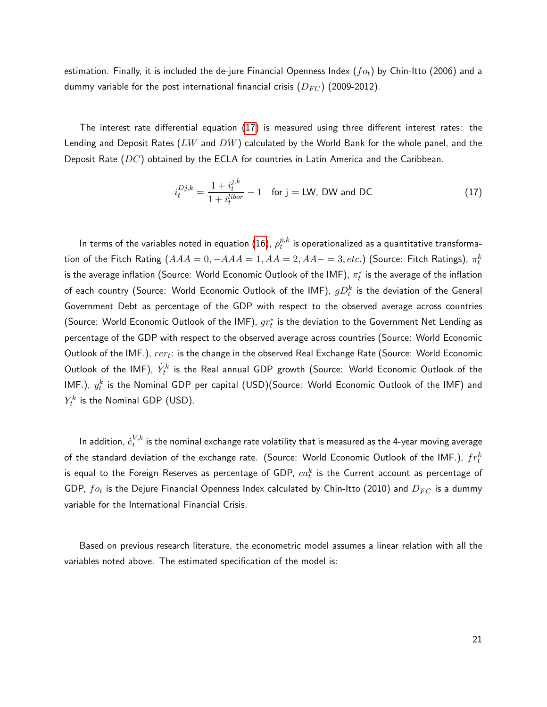estimation. Finally, it is included the de-jure Financial Openness Index  $(fo_t)$  by Chin-Itto (2006) and a dummy variable for the post international financial crisis  $(D_{FC})$  (2009-2012).

<span id="page-25-0"></span>The interest rate differential equation [\(17\)](#page-25-0) is measured using three different interest rates: the Lending and Deposit Rates (LW and  $DW$ ) calculated by the World Bank for the whole panel, and the Deposit Rate  $(DC)$  obtained by the ECLA for countries in Latin America and the Caribbean.

$$
i_t^{Dj,k} = \frac{1 + i_t^{j,k}}{1 + i_t^{ilor}} - 1 \quad \text{for } j = \text{LW, DW and DC}
$$
 (17)

In terms of the variables noted in equation [\(16\)](#page-24-2),  $\rho^{p,k}_t$  $t^{p,\kappa}_t$  is operationalized as a quantitative transformation of the Fitch Rating  $(AAA = 0, -AAA = 1, AA = 2, AA - = 3, etc.)$  (Source: Fitch Ratings),  $\pi^k_t$ is the average inflation (Source: World Economic Outlook of the IMF),  $\pi^*_t$  is the average of the inflation of each country (Source: World Economic Outlook of the IMF),  $gD_t^k$  is the deviation of the General Government Debt as percentage of the GDP with respect to the observed average across countries (Source: World Economic Outlook of the IMF),  $gr_t^\ast$  is the deviation to the Government Net Lending as percentage of the GDP with respect to the observed average across countries (Source: World Economic Outlook of the IMF.),  $rer_t\colon$  is the change in the observed Real Exchange Rate (Source: World Economic Outlook of the IMF),  $\dot{Y}^k_t$  is the Real annual GDP growth (Source: World Economic Outlook of the IMF.),  $y_t^k$  is the Nominal GDP per capital (USD)(Source: World Economic Outlook of the IMF) and  $Y_t^k$  is the Nominal GDP (USD).

In addition,  $\dot{e}_{t}^{V,k}$  $t^{V,\kappa}_t$  is the nominal exchange rate volatility that is measured as the 4-year moving average of the standard deviation of the exchange rate. (Source: World Economic Outlook of the IMF.),  $fr_{t}^{k}$ is equal to the Foreign Reserves as percentage of GDP,  $\mathit{ca}^k_t$  is the Current account as percentage of GDP,  $fo_t$  is the Dejure Financial Openness Index calculated by Chin-Itto (2010) and  $D_{FC}$  is a dummy variable for the International Financial Crisis.

Based on previous research literature, the econometric model assumes a linear relation with all the variables noted above. The estimated specification of the model is: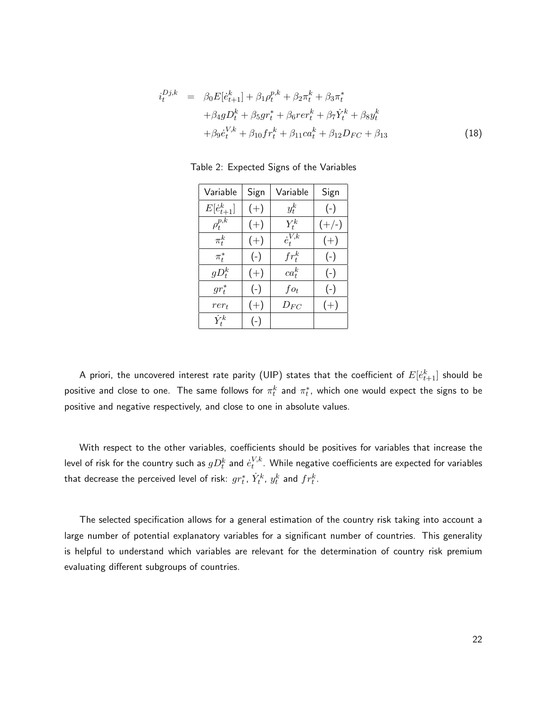<span id="page-26-0"></span>
$$
i_t^{Dj,k} = \beta_0 E[e_{t+1}^k] + \beta_1 \rho_t^{p,k} + \beta_2 \pi_t^k + \beta_3 \pi_t^*
$$
  
+  $\beta_4 g D_t^k + \beta_5 g r_t^* + \beta_6 r e r_t^k + \beta_7 \dot{Y}_t^k + \beta_8 y_t^k$   
+  $\beta_9 e_t^{V,k} + \beta_{10} f r_t^k + \beta_{11} c a_t^k + \beta_{12} D_{FC} + \beta_{13}$  (18)

| Variable             | Sign  | Variable          | Sign    |
|----------------------|-------|-------------------|---------|
| $E[\dot{e}_{t+1}^k]$ | $(+)$ | $y_t^k$           | $(-)$   |
| $\rho_t^{p,k}$       | $(+)$ | $Y_t^k$           | $(+/-)$ |
| $\pi_t^k$            | $(+)$ | $\dot{e}^{V,k}_t$ | $(+)$   |
| $\pi^*_t$            | $(-)$ | $frf^k$           | $(-)$   |
| $gD_t^k$             | $(+)$ | $ca_t^k$          | $(-)$   |
| $gr_t^*$             | $(-)$ | $f_{0t}$          | $(-)$   |
| $rer_t$              | $(+)$ | $D_{FC}$          | $(+)$   |
| $\dot Y_t^k$         | $(-)$ |                   |         |

Table 2: Expected Signs of the Variables

A priori, the uncovered interest rate parity (UIP) states that the coefficient of  $E[\dot{e}^k_{t+1}]$  should be positive and close to one. The same follows for  $\pi^k_t$  and  $\pi^*_t$ , which one would expect the signs to be positive and negative respectively, and close to one in absolute values.

With respect to the other variables, coefficients should be positives for variables that increase the level of risk for the country such as  $gD_t^k$  and  $\dot{e}_{t}^{V,k}$  $t^{V,\kappa}_{t}$  . While negative coefficients are expected for variables that decrease the perceived level of risk:  $gr_t^*,\,\dot Y_t^k,\,y_t^k$  and  $fr_t^k.$ 

The selected specification allows for a general estimation of the country risk taking into account a large number of potential explanatory variables for a significant number of countries. This generality is helpful to understand which variables are relevant for the determination of country risk premium evaluating different subgroups of countries.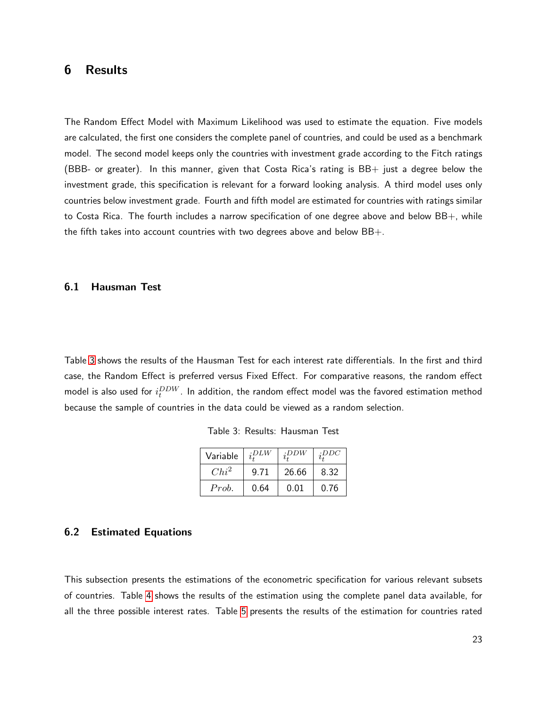### <span id="page-27-0"></span>6 Results

The Random Effect Model with Maximum Likelihood was used to estimate the equation. Five models are calculated, the first one considers the complete panel of countries, and could be used as a benchmark model. The second model keeps only the countries with investment grade according to the Fitch ratings (BBB- or greater). In this manner, given that Costa Rica's rating is BB+ just a degree below the investment grade, this specification is relevant for a forward looking analysis. A third model uses only countries below investment grade. Fourth and fifth model are estimated for countries with ratings similar to Costa Rica. The fourth includes a narrow specification of one degree above and below BB+, while the fifth takes into account countries with two degrees above and below BB+.

#### <span id="page-27-1"></span>6.1 Hausman Test

<span id="page-27-3"></span>Table [3](#page-27-3) shows the results of the Hausman Test for each interest rate differentials. In the first and third case, the Random Effect is preferred versus Fixed Effect. For comparative reasons, the random effect model is also used for  $i_{t}^{DDW}.$  In addition, the random effect model was the favored estimation method because the sample of countries in the data could be viewed as a random selection.

Table 3: Results: Hausman Test

| Variable | $i_{t}^{DLW}$ | $i_{t}^{DDW}$ | $i^{DDC}$ |
|----------|---------------|---------------|-----------|
| $Chi^2$  | 9.71          | 26.66         | 8.32      |
| Prob.    | 0.64          | 0.01          | 0.76      |

#### <span id="page-27-2"></span>6.2 Estimated Equations

This subsection presents the estimations of the econometric specification for various relevant subsets of countries. Table [4](#page-29-0) shows the results of the estimation using the complete panel data available, for all the three possible interest rates. Table [5](#page-30-0) presents the results of the estimation for countries rated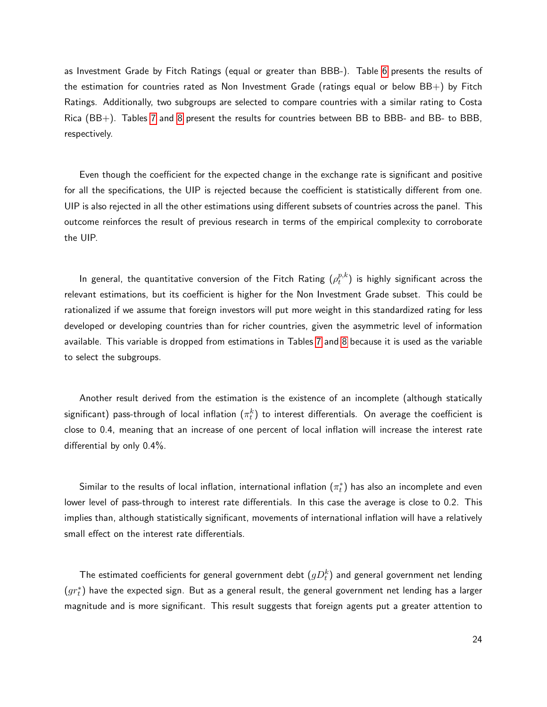as Investment Grade by Fitch Ratings (equal or greater than BBB-). Table [6](#page-31-0) presents the results of the estimation for countries rated as Non Investment Grade (ratings equal or below BB+) by Fitch Ratings. Additionally, two subgroups are selected to compare countries with a similar rating to Costa Rica (BB+). Tables [7](#page-32-0) and [8](#page-33-0) present the results for countries between BB to BBB- and BB- to BBB, respectively.

Even though the coefficient for the expected change in the exchange rate is significant and positive for all the specifications, the UIP is rejected because the coefficient is statistically different from one. UIP is also rejected in all the other estimations using different subsets of countries across the panel. This outcome reinforces the result of previous research in terms of the empirical complexity to corroborate the UIP.

In general, the quantitative conversion of the Fitch Rating  $(\rho_t^{p,k})$  $\left( \begin{smallmatrix} p,\kappa \ t \end{smallmatrix} \right)$  is highly significant across the relevant estimations, but its coefficient is higher for the Non Investment Grade subset. This could be rationalized if we assume that foreign investors will put more weight in this standardized rating for less developed or developing countries than for richer countries, given the asymmetric level of information available. This variable is dropped from estimations in Tables [7](#page-32-0) and [8](#page-33-0) because it is used as the variable to select the subgroups.

Another result derived from the estimation is the existence of an incomplete (although statically significant) pass-through of local inflation  $(\pi^k_t)$  to interest differentials. On average the coefficient is close to 0.4, meaning that an increase of one percent of local inflation will increase the interest rate differential by only 0.4%.

Similar to the results of local inflation, international inflation  $(\pi^*_t)$  has also an incomplete and even lower level of pass-through to interest rate differentials. In this case the average is close to 0.2. This implies than, although statistically significant, movements of international inflation will have a relatively small effect on the interest rate differentials.

The estimated coefficients for general government debt  $(gD_t^{k})$  and general government net lending  $(gr_t^\ast)$  have the expected sign. But as a general result, the general government net lending has a larger magnitude and is more significant. This result suggests that foreign agents put a greater attention to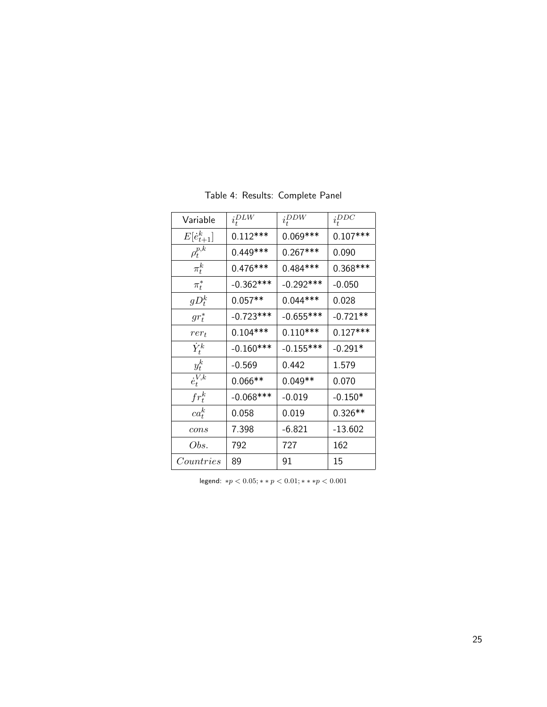<span id="page-29-0"></span>

| Variable             | $i_t^{DLW}$ | $i_t^{DDW}$ | $i_t^{DDC}$ |
|----------------------|-------------|-------------|-------------|
| $E[\dot{e}_{t+1}^k]$ | $0.112***$  | $0.069***$  | $0.107***$  |
| $\rho_t^{p,k}$       | $0.449***$  | $0.267***$  | 0.090       |
| $\pi_t^k$            | $0.476***$  | $0.484***$  | $0.368***$  |
| $\pi_t^*$            | $-0.362***$ | $-0.292***$ | $-0.050$    |
| $gD_t^k$             | $0.057**$   | $0.044***$  | 0.028       |
| $gr_t^*$             | $-0.723***$ | $-0.655***$ | $-0.721**$  |
| $rer_t$              | $0.104***$  | $0.110***$  | $0.127***$  |
| $\dot{Y}^k_t$        | $-0.160***$ | $-0.155***$ | $-0.291*$   |
| $y_t^k$              | $-0.569$    | 0.442       | 1.579       |
| $\dot{e}_{t}^{V,k}$  | $0.066**$   | $0.049**$   | 0.070       |
| $frt^k$              | $-0.068***$ | $-0.019$    | $-0.150*$   |
| $ca_t^k$             | 0.058       | 0.019       | $0.326**$   |
| cons                 | 7.398       | $-6.821$    | $-13.602$   |
| Obs.                 | 792         | 727         | 162         |
| Countries            | 89          | 91          | 15          |
|                      |             |             |             |

Table 4: Results: Complete Panel

legend:  $*p < 0.05; **p < 0.01; **pp < 0.001$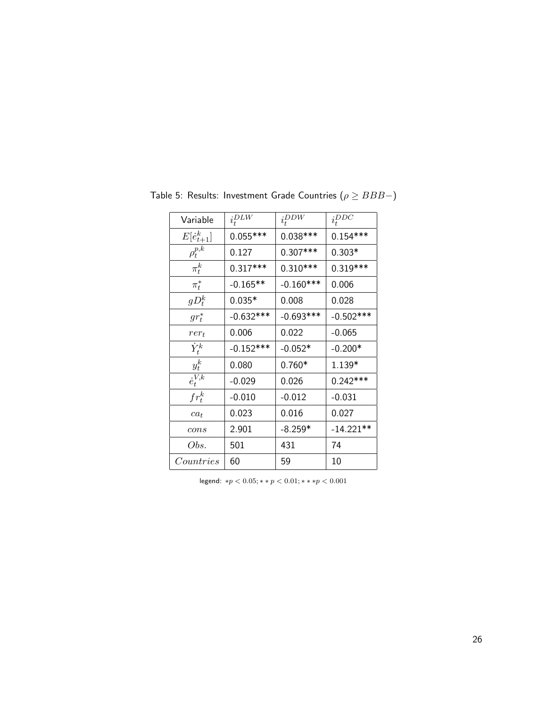| $i_t^{DLW}$ | $i_{t}^{DDW}$ | $i_t^{DDC}$ |
|-------------|---------------|-------------|
| $0.055***$  | 0.038***      | $0.154***$  |
| 0.127       | $0.307***$    | $0.303*$    |
| $0.317***$  | $0.310***$    | $0.319***$  |
| $-0.165**$  | $-0.160***$   | 0.006       |
| $0.035*$    | 0.008         | 0.028       |
| $-0.632***$ | $-0.693***$   | $-0.502***$ |
| 0.006       | 0.022         | $-0.065$    |
| $-0.152***$ | $-0.052*$     | $-0.200*$   |
| 0.080       | $0.760*$      | 1.139*      |
| -0.029      | 0.026         | $0.242***$  |
| $-0.010$    | $-0.012$      | $-0.031$    |
| 0.023       | 0.016         | 0.027       |
| 2.901       | $-8.259*$     | $-14.221**$ |
| 501         | 431           | 74          |
| 60          | 59            | 10          |
|             |               |             |

<span id="page-30-0"></span>Table 5: Results: Investment Grade Countries ( $\rho \geq BBB-$ )

legend:  $*p < 0.05; **p < 0.01; **pp < 0.001$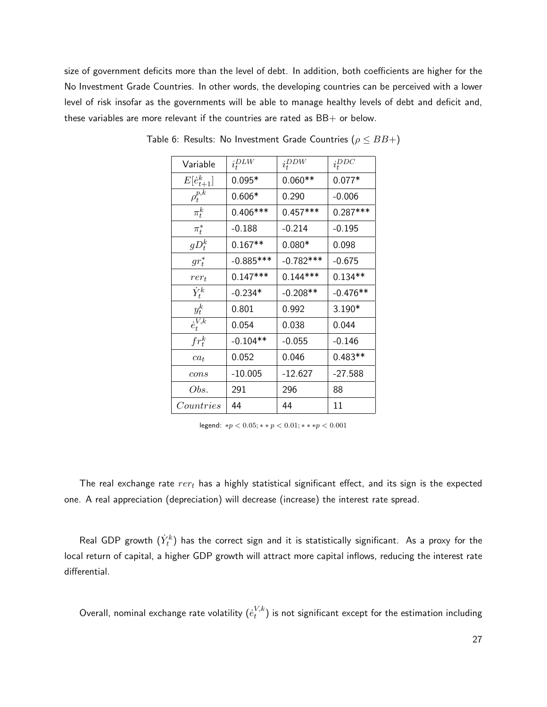<span id="page-31-0"></span>size of government deficits more than the level of debt. In addition, both coefficients are higher for the No Investment Grade Countries. In other words, the developing countries can be perceived with a lower level of risk insofar as the governments will be able to manage healthy levels of debt and deficit and, these variables are more relevant if the countries are rated as  $BB+$  or below.

| Variable             | $i_t^{DLW}$ | $i_t^{DDW}$ | $i_t^{DDC}$ |
|----------------------|-------------|-------------|-------------|
| $E[\dot{e}_{t+1}^k]$ | $0.095*$    | $0.060**$   | $0.077*$    |
| $\rho_t^{p,k}$       | $0.606*$    | 0.290       | $-0.006$    |
| $\pi_t^k$            | $0.406***$  | $0.457***$  | $0.287***$  |
| $\pi^*_t$            | -0.188      | $-0.214$    | $-0.195$    |
| $gD_t^k$             | $0.167**$   | $0.080*$    | 0.098       |
| $gr_t^*$             | $-0.885***$ | $-0.782***$ | $-0.675$    |
| $rer_t$              | $0.147***$  | $0.144***$  | $0.134**$   |
| $\dot Y^k_t$         | $-0.234*$   | $-0.208**$  | $-0.476**$  |
| $y_t^k$              | 0.801       | 0.992       | $3.190*$    |
| $\dot{e}^{V,k}_t$    | 0.054       | 0.038       | 0.044       |
| $frt^k$              | $-0.104**$  | $-0.055$    | $-0.146$    |
| $ca_t$               | 0.052       | 0.046       | $0.483**$   |
| cons                 | $-10.005$   | $-12.627$   | $-27.588$   |
| Obs.                 | 291         | 296         | 88          |
| Countries            | 44          | 44          | 11          |

Table 6: Results: No Investment Grade Countries ( $\rho \leq BB+$ )

legend:  $*p < 0.05; **p < 0.01; ***p < 0.001$ 

The real exchange rate  $rer_t$  has a highly statistical significant effect, and its sign is the expected one. A real appreciation (depreciation) will decrease (increase) the interest rate spread.

Real GDP growth  $(\dot{Y}^k_t)$  has the correct sign and it is statistically significant. As a proxy for the local return of capital, a higher GDP growth will attract more capital inflows, reducing the interest rate differential.

Overall, nominal exchange rate volatility  $(\dot{e}^{V,k}_t)$  $\mathcal{U}^{V,\kappa}_{t}$ ) is not significant except for the estimation including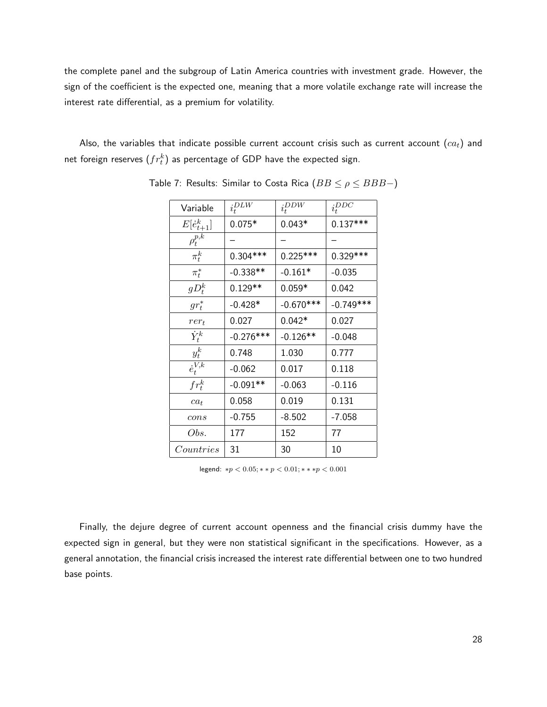the complete panel and the subgroup of Latin America countries with investment grade. However, the sign of the coefficient is the expected one, meaning that a more volatile exchange rate will increase the interest rate differential, as a premium for volatility.

<span id="page-32-0"></span>Also, the variables that indicate possible current account crisis such as current account  $(ca_t)$  and net foreign reserves  $(f r_t^k)$  as percentage of GDP have the expected sign.

| Variable             | $i_t^{DLW}$ | $i_t^{DDW}$ | $i_t^{DDC}$ |
|----------------------|-------------|-------------|-------------|
| $E[\dot{e}_{t+1}^k]$ | $0.075*$    | $0.043*$    | $0.137***$  |
| $\rho_t^{p,k}$       |             |             |             |
| $\pi_t^k$            | $0.304***$  | $0.225***$  | $0.329***$  |
| $\pi^*_t$            | $-0.338**$  | $-0.161*$   | $-0.035$    |
| $gD_t^k$             | $0.129**$   | $0.059*$    | 0.042       |
| $gr_t^*$             | $-0.428*$   | $-0.670***$ | $-0.749***$ |
| $rer_t$              | 0.027       | $0.042*$    | 0.027       |
| $\dot{Y}^k_t$        | $-0.276***$ | $-0.126**$  | $-0.048$    |
| $y_t^k$              | 0.748       | 1.030       | 0.777       |
| $\dot{e}_{t}^{V,k}$  | $-0.062$    | 0.017       | 0.118       |
| $frt^k$              | $-0.091**$  | $-0.063$    | $-0.116$    |
| $ca_t$               | 0.058       | 0.019       | 0.131       |
| cons                 | $-0.755$    | $-8.502$    | $-7.058$    |
| Obs.                 | 177         | 152         | 77          |
| Countries            | 31          | 30          | 10          |

Table 7: Results: Similar to Costa Rica  $(BB \le \rho \le BBB-)$ 

legend: \* $p < 0.05$ ; \* \*  $p < 0.01$ ; \* \* \* $p < 0.001$ 

Finally, the dejure degree of current account openness and the financial crisis dummy have the expected sign in general, but they were non statistical significant in the specifications. However, as a general annotation, the financial crisis increased the interest rate differential between one to two hundred base points.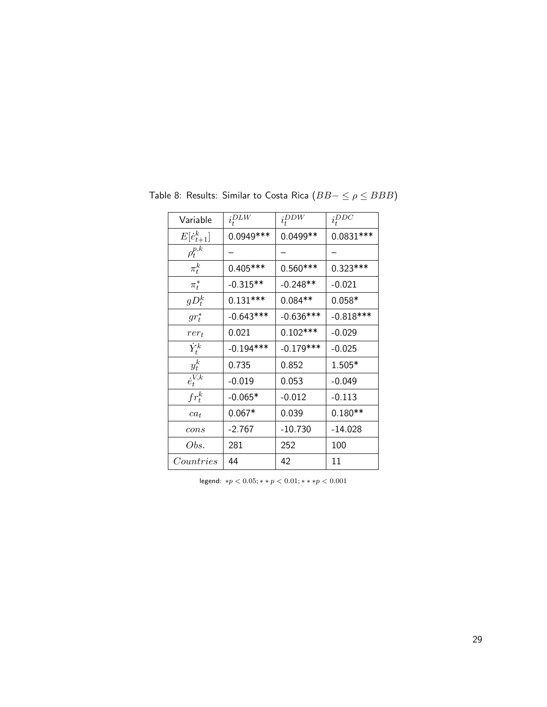| Variable             | $i_t^{DLW}$ | $i_t^{DDW}$ | $i_t^{DDC}$ |
|----------------------|-------------|-------------|-------------|
| $E[\dot{e}_{t+1}^k]$ | $0.0949***$ | 0.0499**    | $0.0831***$ |
| $\rho_t^{p,k}$       |             |             |             |
| $\pi_t^k$            | $0.405***$  | $0.560***$  | $0.323***$  |
| $\pi^*_t$            | $-0.315**$  | $-0.248**$  | $-0.021$    |
| $gD_t^k$             | $0.131***$  | $0.084**$   | $0.058*$    |
| $gr_t^*$             | $-0.643***$ | $-0.636***$ | $-0.818***$ |
| $rer_t$              | 0.021       | $0.102***$  | $-0.029$    |
| $\dot{Y}^k_t$        | $-0.194***$ | $-0.179***$ | $-0.025$    |
| $y_t^k$              | 0.735       | 0.852       | 1.505*      |
| $\dot{e}_{t}^{V,k}$  | $-0.019$    | 0.053       | $-0.049$    |
| $frt^k$              | $-0.065*$   | $-0.012$    | $-0.113$    |
| $ca_t$               | $0.067*$    | 0.039       | $0.180**$   |
| cons                 | $-2.767$    | $-10.730$   | $-14.028$   |
| Obs.                 | 281         | 252         | 100         |
| Countries            | 44          | 42          | 11          |

<span id="page-33-0"></span>Table 8: Results: Similar to Costa Rica  $(BB-\leq \rho \leq BBB)$ 

legend:  $*p < 0.05; **p < 0.01; **pp < 0.001$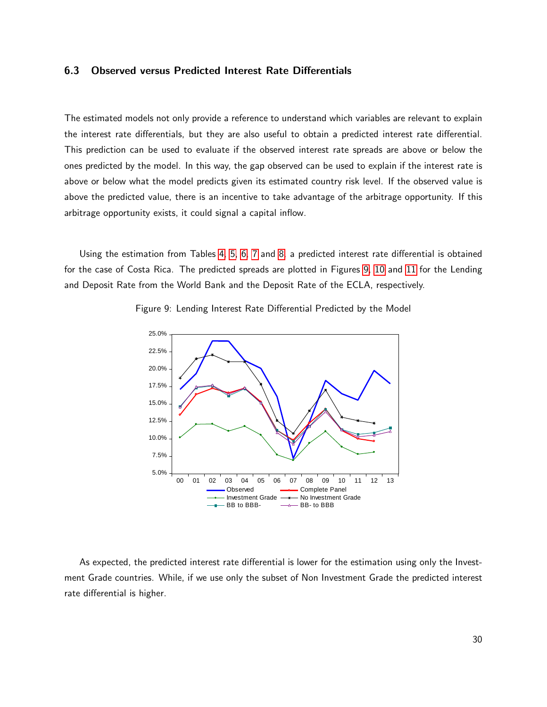#### <span id="page-34-0"></span>6.3 Observed versus Predicted Interest Rate Differentials

The estimated models not only provide a reference to understand which variables are relevant to explain the interest rate differentials, but they are also useful to obtain a predicted interest rate differential. This prediction can be used to evaluate if the observed interest rate spreads are above or below the ones predicted by the model. In this way, the gap observed can be used to explain if the interest rate is above or below what the model predicts given its estimated country risk level. If the observed value is above the predicted value, there is an incentive to take advantage of the arbitrage opportunity. If this arbitrage opportunity exists, it could signal a capital inflow.

<span id="page-34-1"></span>Using the estimation from Tables [4,](#page-29-0) [5,](#page-30-0) [6,](#page-31-0) [7](#page-32-0) and [8,](#page-33-0) a predicted interest rate differential is obtained for the case of Costa Rica. The predicted spreads are plotted in Figures [9,](#page-34-1) [10](#page-35-0) and [11](#page-36-0) for the Lending and Deposit Rate from the World Bank and the Deposit Rate of the ECLA, respectively.



Figure 9: Lending Interest Rate Differential Predicted by the Model

As expected, the predicted interest rate differential is lower for the estimation using only the Investment Grade countries. While, if we use only the subset of Non Investment Grade the predicted interest rate differential is higher.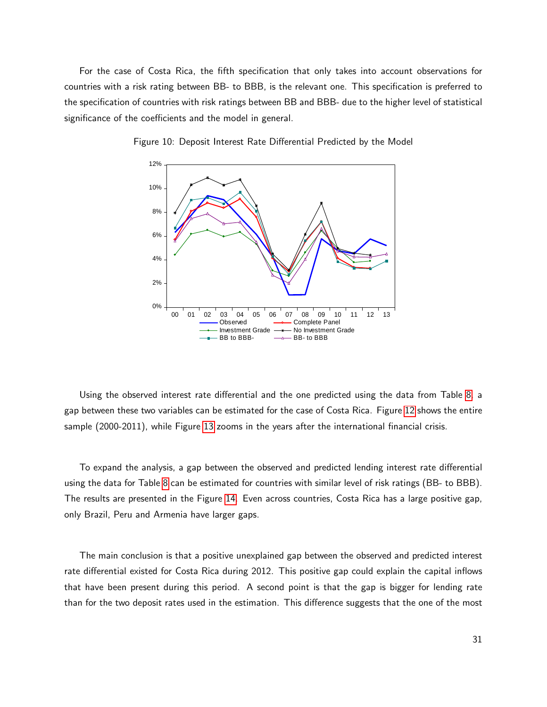<span id="page-35-0"></span>For the case of Costa Rica, the fifth specification that only takes into account observations for countries with a risk rating between BB- to BBB, is the relevant one. This specification is preferred to the specification of countries with risk ratings between BB and BBB- due to the higher level of statistical significance of the coefficients and the model in general.



Figure 10: Deposit Interest Rate Differential Predicted by the Model

Using the observed interest rate differential and the one predicted using the data from Table [8,](#page-33-0) a gap between these two variables can be estimated for the case of Costa Rica. Figure [12](#page-36-1) shows the entire sample (2000-2011), while Figure [13](#page-37-0) zooms in the years after the international financial crisis.

To expand the analysis, a gap between the observed and predicted lending interest rate differential using the data for Table [8](#page-33-0) can be estimated for countries with similar level of risk ratings (BB- to BBB). The results are presented in the Figure [14.](#page-38-0) Even across countries, Costa Rica has a large positive gap, only Brazil, Peru and Armenia have larger gaps.

The main conclusion is that a positive unexplained gap between the observed and predicted interest rate differential existed for Costa Rica during 2012. This positive gap could explain the capital inflows that have been present during this period. A second point is that the gap is bigger for lending rate than for the two deposit rates used in the estimation. This difference suggests that the one of the most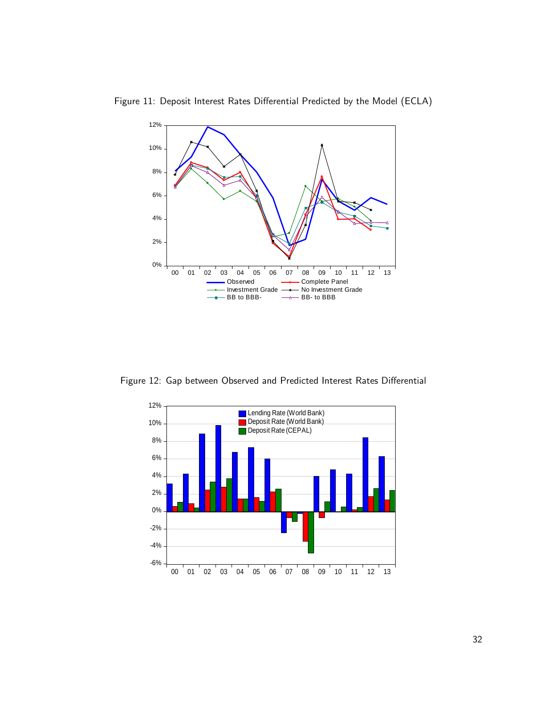

<span id="page-36-0"></span>Figure 11: Deposit Interest Rates Differential Predicted by the Model (ECLA)

<span id="page-36-1"></span>Figure 12: Gap between Observed and Predicted Interest Rates Differential

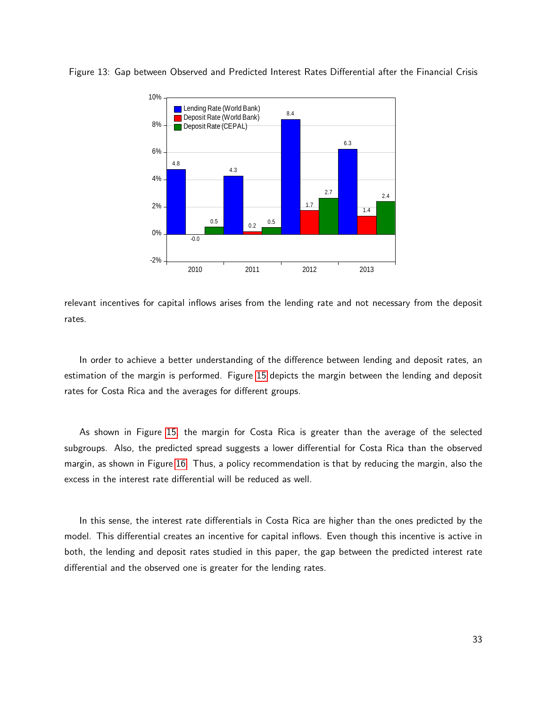

<span id="page-37-0"></span>Figure 13: Gap between Observed and Predicted Interest Rates Differential after the Financial Crisis

relevant incentives for capital inflows arises from the lending rate and not necessary from the deposit rates.

In order to achieve a better understanding of the difference between lending and deposit rates, an estimation of the margin is performed. Figure [15](#page-38-1) depicts the margin between the lending and deposit rates for Costa Rica and the averages for different groups.

As shown in Figure [15,](#page-38-1) the margin for Costa Rica is greater than the average of the selected subgroups. Also, the predicted spread suggests a lower differential for Costa Rica than the observed margin, as shown in Figure [16.](#page-39-1) Thus, a policy recommendation is that by reducing the margin, also the excess in the interest rate differential will be reduced as well.

In this sense, the interest rate differentials in Costa Rica are higher than the ones predicted by the model. This differential creates an incentive for capital inflows. Even though this incentive is active in both, the lending and deposit rates studied in this paper, the gap between the predicted interest rate differential and the observed one is greater for the lending rates.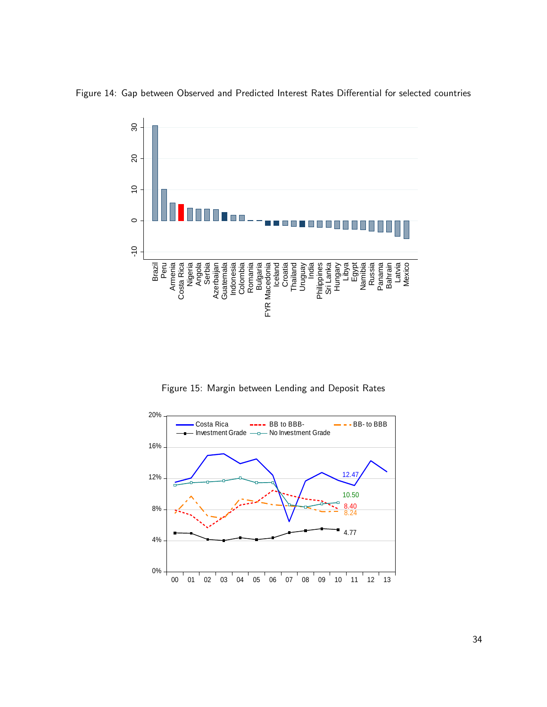

<span id="page-38-0"></span>Figure 14: Gap between Observed and Predicted Interest Rates Differential for selected countries

Figure 15: Margin between Lending and Deposit Rates

<span id="page-38-1"></span>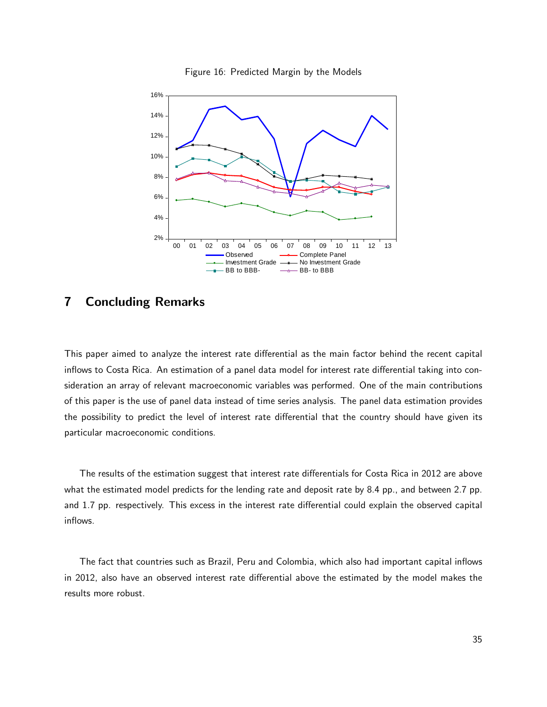<span id="page-39-1"></span>

Figure 16: Predicted Margin by the Models

### <span id="page-39-0"></span>7 Concluding Remarks

This paper aimed to analyze the interest rate differential as the main factor behind the recent capital inflows to Costa Rica. An estimation of a panel data model for interest rate differential taking into consideration an array of relevant macroeconomic variables was performed. One of the main contributions of this paper is the use of panel data instead of time series analysis. The panel data estimation provides the possibility to predict the level of interest rate differential that the country should have given its particular macroeconomic conditions.

The results of the estimation suggest that interest rate differentials for Costa Rica in 2012 are above what the estimated model predicts for the lending rate and deposit rate by 8.4 pp., and between 2.7 pp. and 1.7 pp. respectively. This excess in the interest rate differential could explain the observed capital inflows.

The fact that countries such as Brazil, Peru and Colombia, which also had important capital inflows in 2012, also have an observed interest rate differential above the estimated by the model makes the results more robust.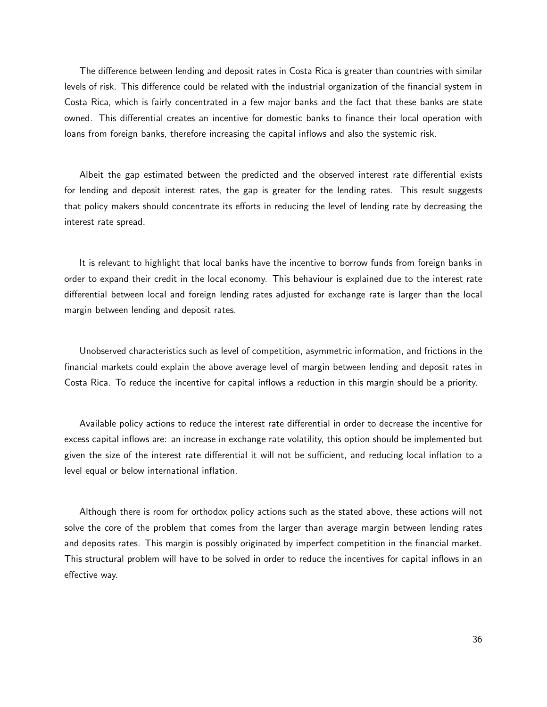The difference between lending and deposit rates in Costa Rica is greater than countries with similar levels of risk. This difference could be related with the industrial organization of the financial system in Costa Rica, which is fairly concentrated in a few major banks and the fact that these banks are state owned. This differential creates an incentive for domestic banks to finance their local operation with loans from foreign banks, therefore increasing the capital inflows and also the systemic risk.

Albeit the gap estimated between the predicted and the observed interest rate differential exists for lending and deposit interest rates, the gap is greater for the lending rates. This result suggests that policy makers should concentrate its efforts in reducing the level of lending rate by decreasing the interest rate spread.

It is relevant to highlight that local banks have the incentive to borrow funds from foreign banks in order to expand their credit in the local economy. This behaviour is explained due to the interest rate differential between local and foreign lending rates adjusted for exchange rate is larger than the local margin between lending and deposit rates.

Unobserved characteristics such as level of competition, asymmetric information, and frictions in the financial markets could explain the above average level of margin between lending and deposit rates in Costa Rica. To reduce the incentive for capital inflows a reduction in this margin should be a priority.

Available policy actions to reduce the interest rate differential in order to decrease the incentive for excess capital inflows are: an increase in exchange rate volatility, this option should be implemented but given the size of the interest rate differential it will not be sufficient, and reducing local inflation to a level equal or below international inflation.

Although there is room for orthodox policy actions such as the stated above, these actions will not solve the core of the problem that comes from the larger than average margin between lending rates and deposits rates. This margin is possibly originated by imperfect competition in the financial market. This structural problem will have to be solved in order to reduce the incentives for capital inflows in an effective way.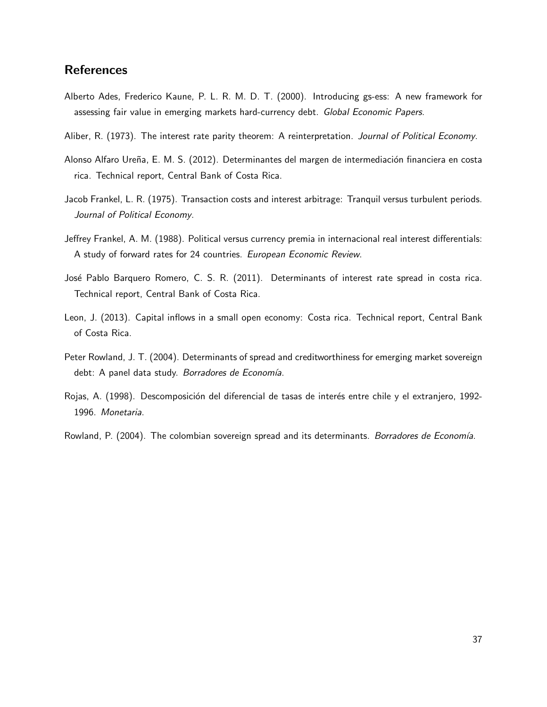## <span id="page-41-0"></span>**References**

- Alberto Ades, Frederico Kaune, P. L. R. M. D. T. (2000). Introducing gs-ess: A new framework for assessing fair value in emerging markets hard-currency debt. Global Economic Papers.
- Aliber, R. (1973). The interest rate parity theorem: A reinterpretation. Journal of Political Economy.
- <span id="page-41-2"></span>Alonso Alfaro Ureña, E. M. S. (2012). Determinantes del margen de intermediación financiera en costa rica. Technical report, Central Bank of Costa Rica.
- Jacob Frankel, L. R. (1975). Transaction costs and interest arbitrage: Tranquil versus turbulent periods. Journal of Political Economy.
- Jeffrey Frankel, A. M. (1988). Political versus currency premia in internacional real interest differentials: A study of forward rates for 24 countries. European Economic Review.
- <span id="page-41-3"></span>José Pablo Barquero Romero, C. S. R. (2011). Determinants of interest rate spread in costa rica. Technical report, Central Bank of Costa Rica.
- <span id="page-41-1"></span>Leon, J. (2013). Capital inflows in a small open economy: Costa rica. Technical report, Central Bank of Costa Rica.
- Peter Rowland, J. T. (2004). Determinants of spread and creditworthiness for emerging market sovereign debt: A panel data study. Borradores de Economía.
- Rojas, A. (1998). Descomposición del diferencial de tasas de interés entre chile y el extranjero, 1992-1996. Monetaria.
- Rowland, P. (2004). The colombian sovereign spread and its determinants. Borradores de Economía.